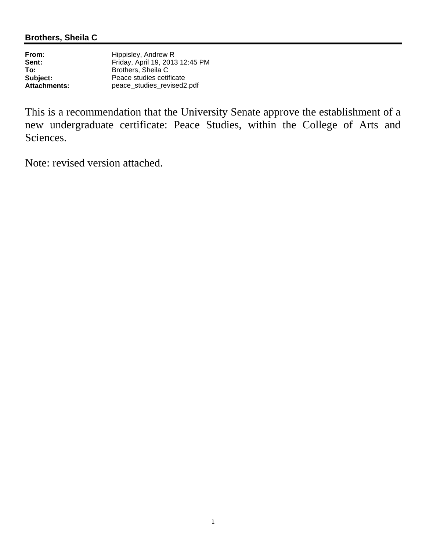| From:               | Hippisley, Andrew R             |
|---------------------|---------------------------------|
| Sent:               | Friday, April 19, 2013 12:45 PM |
| To:                 | Brothers, Sheila C              |
| Subject:            | Peace studies cetificate        |
| <b>Attachments:</b> | peace_studies_revised2.pdf      |

This is a recommendation that the University Senate approve the establishment of a new undergraduate certificate: Peace Studies, within the College of Arts and Sciences.

Note: revised version attached.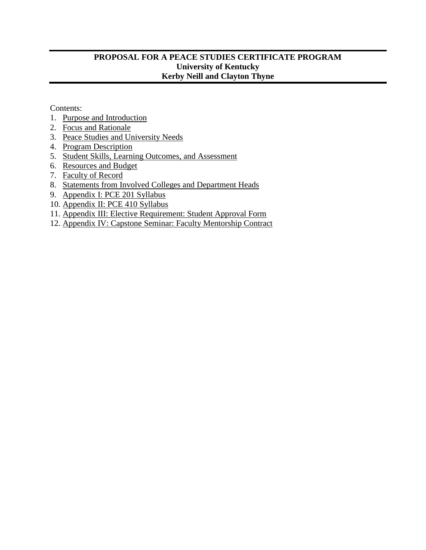# **PROPOSAL FOR A PEACE STUDIES CERTIFICATE PROGRAM University of Kentucky Kerby Neill and Clayton Thyne**

Contents:

- 1. [Purpose and Introduction](#page-2-0)
- 2. [Focus and Rationale](#page-2-1)
- 3. [Peace Studies and University Needs](#page-3-0)
- 4. [Program Description](#page-4-0)
- 5. [Student Skills, Learning Outcomes, and Assessment](#page-8-0)
- 6. [Resources and Budget](#page-10-0)
- 7. [Faculty of Record](#page-11-0)
- 8. [Statements from Involved Colleges and Department Heads](#page-15-0)
- 9. [Appendix I: PCE 201 Syllabus](#page-16-0)
- 10. [Appendix II: PCE 410 Syllabus](#page-29-0)
- 11. [Appendix III: Elective Requirement: Student Approval Form](#page-41-0)
- 12. [Appendix IV: Capstone Seminar: Faculty Mentorship Contract](#page-43-0)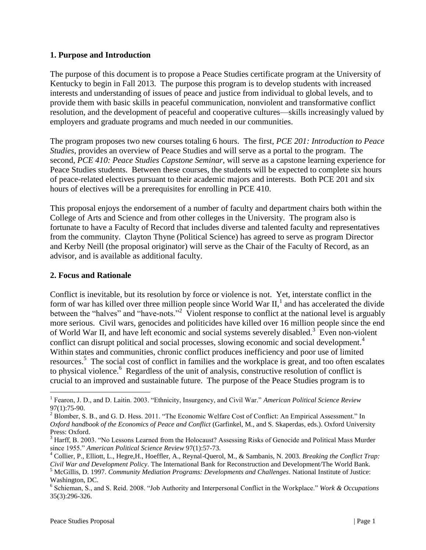## <span id="page-2-0"></span>**1. Purpose and Introduction**

The purpose of this document is to propose a Peace Studies certificate program at the University of Kentucky to begin in Fall 2013. The purpose this program is to develop students with increased interests and understanding of issues of peace and justice from individual to global levels, and to provide them with basic skills in peaceful communication, nonviolent and transformative conflict resolution, and the development of peaceful and cooperative cultures—skills increasingly valued by employers and graduate programs and much needed in our communities.

The program proposes two new courses totaling 6 hours. The first, *PCE 201: Introduction to Peace Studies*, provides an overview of Peace Studies and will serve as a portal to the program. The second, *PCE 410: Peace Studies Capstone Seminar*, will serve as a capstone learning experience for Peace Studies students. Between these courses, the students will be expected to complete six hours of peace-related electives pursuant to their academic majors and interests. Both PCE 201 and six hours of electives will be a prerequisites for enrolling in PCE 410.

This proposal enjoys the endorsement of a number of faculty and department chairs both within the College of Arts and Science and from other colleges in the University. The program also is fortunate to have a Faculty of Record that includes diverse and talented faculty and representatives from the community. Clayton Thyne (Political Science) has agreed to serve as program Director and Kerby Neill (the proposal originator) will serve as the Chair of the Faculty of Record, as an advisor, and is available as additional faculty.

# <span id="page-2-1"></span>**2. Focus and Rationale**

Conflict is inevitable, but its resolution by force or violence is not. Yet, interstate conflict in the form of war has killed over three million people since World War  $II$ , and has accelerated the divide between the "halves" and "have-nots."<sup>2</sup> Violent response to conflict at the national level is arguably more serious. Civil wars, genocides and politicides have killed over 16 million people since the end of World War II, and have left economic and social systems severely disabled.<sup>3</sup> Even non-violent conflict can disrupt political and social processes, slowing economic and social development.<sup>4</sup> Within states and communities, chronic conflict produces inefficiency and poor use of limited resources. 5 The social cost of conflict in families and the workplace is great, and too often escalates to physical violence.<sup>6</sup> Regardless of the unit of analysis, constructive resolution of conflict is crucial to an improved and sustainable future. The purpose of the Peace Studies program is to

 $\overline{a}$ 

<sup>1</sup> Fearon, J. D., and D. Laitin. 2003. "Ethnicity, Insurgency, and Civil War." *American Political Science Review* 97(1):75-90.

<sup>&</sup>lt;sup>2</sup> Blomber, S. B., and G. D. Hess. 2011. "The Economic Welfare Cost of Conflict: An Empirical Assessment." In *Oxford handbook of the Economics of Peace and Conflict* (Garfinkel, M., and S. Skaperdas, eds.). Oxford University Press: Oxford.

<sup>&</sup>lt;sup>3</sup> Harff, B. 2003. "No Lessons Learned from the Holocaust? Assessing Risks of Genocide and Political Mass Murder since 1955." *American Political Science Review* 97(1):57-73.

<sup>4</sup> Collier, P., Elliott, L., Hegre,H., Hoeffler, A., Reynal-Querol, M., & Sambanis, N. 2003. *Breaking the Conflict Trap: Civil War and Development Policy*. The International Bank for Reconstruction and Development/The World Bank.

<sup>5</sup> McGillis, D. 1997. *Community Mediation Programs: Developments and Challenges*. National Institute of Justice: Washington, DC.

<sup>6</sup> Schieman, S., and S. Reid. 2008. "Job Authority and Interpersonal Conflict in the Workplace." *Work & Occupations* 35(3):296-326.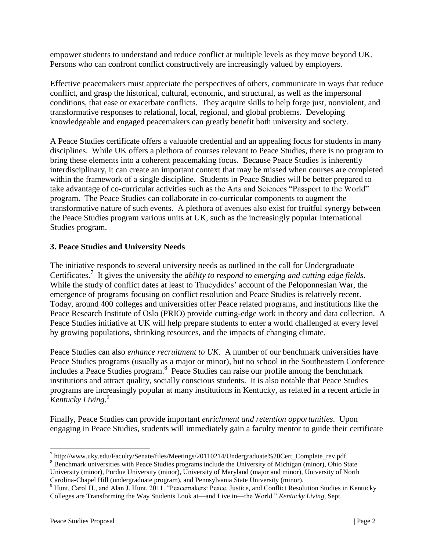empower students to understand and reduce conflict at multiple levels as they move beyond UK. Persons who can confront conflict constructively are increasingly valued by employers.

Effective peacemakers must appreciate the perspectives of others, communicate in ways that reduce conflict, and grasp the historical, cultural, economic, and structural, as well as the impersonal conditions, that ease or exacerbate conflicts. They acquire skills to help forge just, nonviolent, and transformative responses to relational, local, regional, and global problems. Developing knowledgeable and engaged peacemakers can greatly benefit both university and society.

A Peace Studies certificate offers a valuable credential and an appealing focus for students in many disciplines. While UK offers a plethora of courses relevant to Peace Studies, there is no program to bring these elements into a coherent peacemaking focus. Because Peace Studies is inherently interdisciplinary, it can create an important context that may be missed when courses are completed within the framework of a single discipline. Students in Peace Studies will be better prepared to take advantage of co-curricular activities such as the Arts and Sciences "Passport to the World" program. The Peace Studies can collaborate in co-curricular components to augment the transformative nature of such events. A plethora of avenues also exist for fruitful synergy between the Peace Studies program various units at UK, such as the increasingly popular International Studies program.

# <span id="page-3-0"></span>**3. Peace Studies and University Needs**

The initiative responds to several university needs as outlined in the call for Undergraduate Certificates.<sup>7</sup> It gives the university the *ability to respond to emerging and cutting edge fields*. While the study of conflict dates at least to Thucydides' account of the Peloponnesian War, the emergence of programs focusing on conflict resolution and Peace Studies is relatively recent. Today, around 400 colleges and universities offer Peace related programs, and institutions like the Peace Research Institute of Oslo (PRIO) provide cutting-edge work in theory and data collection. A Peace Studies initiative at UK will help prepare students to enter a world challenged at every level by growing populations, shrinking resources, and the impacts of changing climate.

Peace Studies can also *enhance recruitment to UK*. A number of our benchmark universities have Peace Studies programs (usually as a major or minor), but no school in the Southeastern Conference includes a Peace Studies program.<sup>8</sup> Peace Studies can raise our profile among the benchmark institutions and attract quality, socially conscious students. It is also notable that Peace Studies programs are increasingly popular at many institutions in Kentucky, as related in a recent article in *Kentucky Living*. 9

Finally, Peace Studies can provide important *enrichment and retention opportunities*. Upon engaging in Peace Studies, students will immediately gain a faculty mentor to guide their certificate

 $\overline{a}$ 

<sup>&</sup>lt;sup>7</sup> http://www.uky.edu/Faculty/Senate/files/Meetings/20110214/Undergraduate%20Cert\_Complete\_rev.pdf

<sup>&</sup>lt;sup>8</sup> Benchmark universities with Peace Studies programs include the University of Michigan (minor), Ohio State University (minor), Purdue University (minor), University of Maryland (major and minor), University of North

Carolina-Chapel Hill (undergraduate program), and Pennsylvania State University (minor).

<sup>&</sup>lt;sup>9</sup> Hunt, Carol H., and Alan J. Hunt. 2011. "Peacemakers: Peace, Justice, and Conflict Resolution Studies in Kentucky Colleges are Transforming the Way Students Look at—and Live in—the World." *Kentucky Living*, Sept.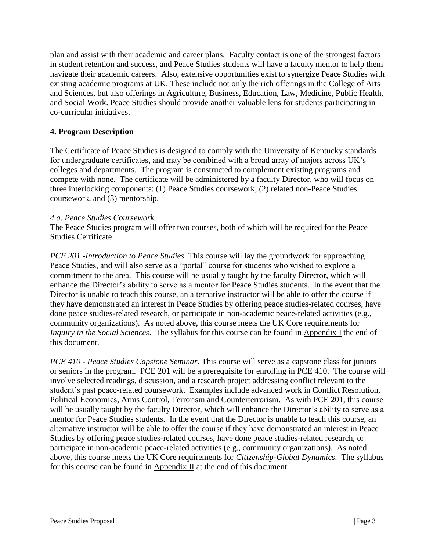plan and assist with their academic and career plans. Faculty contact is one of the strongest factors in student retention and success, and Peace Studies students will have a faculty mentor to help them navigate their academic careers. Also, extensive opportunities exist to synergize Peace Studies with existing academic programs at UK. These include not only the rich offerings in the College of Arts and Sciences, but also offerings in Agriculture, Business, Education, Law, Medicine, Public Health, and Social Work. Peace Studies should provide another valuable lens for students participating in co-curricular initiatives.

# <span id="page-4-0"></span>**4. Program Description**

The Certificate of Peace Studies is designed to comply with the University of Kentucky standards for undergraduate certificates, and may be combined with a broad array of majors across UK's colleges and departments. The program is constructed to complement existing programs and compete with none. The certificate will be administered by a faculty Director, who will focus on three interlocking components: (1) Peace Studies coursework, (2) related non-Peace Studies coursework, and (3) mentorship.

## *4.a. Peace Studies Coursework*

The Peace Studies program will offer two courses, both of which will be required for the Peace Studies Certificate.

*PCE 201 -Introduction to Peace Studies.* This course will lay the groundwork for approaching Peace Studies, and will also serve as a "portal" course for students who wished to explore a commitment to the area. This course will be usually taught by the faculty Director, which will enhance the Director's ability to serve as a mentor for Peace Studies students. In the event that the Director is unable to teach this course, an alternative instructor will be able to offer the course if they have demonstrated an interest in Peace Studies by offering peace studies-related courses, have done peace studies-related research, or participate in non-academic peace-related activities (e.g., community organizations). As noted above, this course meets the UK Core requirements for *Inquiry in the Social Sciences*. The syllabus for this course can be found in [Appendix I](#page-16-0) the end of this document.

*PCE 410 - Peace Studies Capstone Seminar.* This course will serve as a capstone class for juniors or seniors in the program. PCE 201 will be a prerequisite for enrolling in PCE 410. The course will involve selected readings, discussion, and a research project addressing conflict relevant to the student's past peace-related coursework. Examples include advanced work in Conflict Resolution, Political Economics, Arms Control, Terrorism and Counterterrorism. As with PCE 201, this course will be usually taught by the faculty Director, which will enhance the Director's ability to serve as a mentor for Peace Studies students. In the event that the Director is unable to teach this course, an alternative instructor will be able to offer the course if they have demonstrated an interest in Peace Studies by offering peace studies-related courses, have done peace studies-related research, or participate in non-academic peace-related activities (e.g., community organizations). As noted above, this course meets the UK Core requirements for *Citizenship-Global Dynamics*. The syllabus for this course can be found in [Appendix II](#page-29-0) at the end of this document.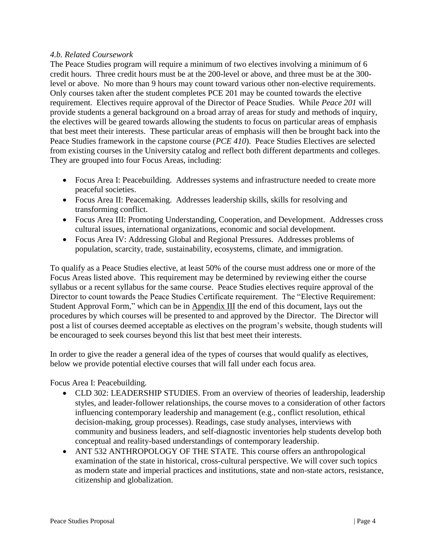## *4.b. Related Coursework*

The Peace Studies program will require a minimum of two electives involving a minimum of 6 credit hours. Three credit hours must be at the 200-level or above, and three must be at the 300 level or above. No more than 9 hours may count toward various other non-elective requirements. Only courses taken after the student completes PCE 201 may be counted towards the elective requirement. Electives require approval of the Director of Peace Studies. While *Peace 201* will provide students a general background on a broad array of areas for study and methods of inquiry, the electives will be geared towards allowing the students to focus on particular areas of emphasis that best meet their interests. These particular areas of emphasis will then be brought back into the Peace Studies framework in the capstone course (*PCE 410*).Peace Studies Electives are selected from existing courses in the University catalog and reflect both different departments and colleges. They are grouped into four Focus Areas, including:

- Focus Area I: Peacebuilding. Addresses systems and infrastructure needed to create more peaceful societies.
- Focus Area II: Peacemaking. Addresses leadership skills, skills for resolving and transforming conflict.
- Focus Area III: Promoting Understanding, Cooperation, and Development. Addresses cross cultural issues, international organizations, economic and social development.
- Focus Area IV: Addressing Global and Regional Pressures. Addresses problems of population, scarcity, trade, sustainability, ecosystems, climate, and immigration.

To qualify as a Peace Studies elective, at least 50% of the course must address one or more of the Focus Areas listed above. This requirement may be determined by reviewing either the course syllabus or a recent syllabus for the same course. Peace Studies electives require approval of the Director to count towards the Peace Studies Certificate requirement. The "Elective Requirement: Student Approval Form," which can be in [Appendix III](#page-41-0) the end of this document, lays out the procedures by which courses will be presented to and approved by the Director. The Director will post a list of courses deemed acceptable as electives on the program's website, though students will be encouraged to seek courses beyond this list that best meet their interests.

In order to give the reader a general idea of the types of courses that would qualify as electives, below we provide potential elective courses that will fall under each focus area.

Focus Area I: Peacebuilding.

- CLD 302: LEADERSHIP STUDIES. From an overview of theories of leadership, leadership styles, and leader-follower relationships, the course moves to a consideration of other factors influencing contemporary leadership and management (e.g., conflict resolution, ethical decision-making, group processes). Readings, case study analyses, interviews with community and business leaders, and self-diagnostic inventories help students develop both conceptual and reality-based understandings of contemporary leadership.
- ANT 532 ANTHROPOLOGY OF THE STATE. This course offers an anthropological examination of the state in historical, cross-cultural perspective. We will cover such topics as modern state and imperial practices and institutions, state and non-state actors, resistance, citizenship and globalization.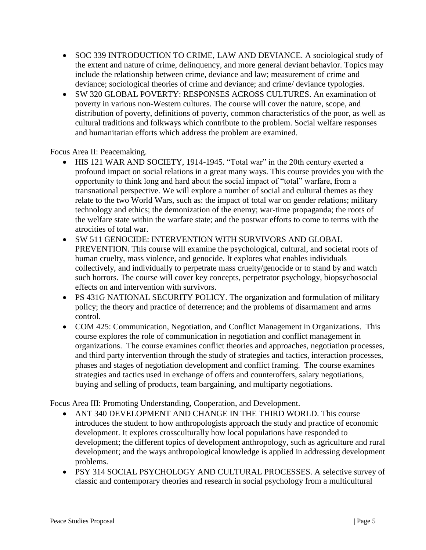- SOC 339 INTRODUCTION TO CRIME, LAW AND DEVIANCE. A sociological study of the extent and nature of crime, delinquency, and more general deviant behavior. Topics may include the relationship between crime, deviance and law; measurement of crime and deviance; sociological theories of crime and deviance; and crime/ deviance typologies.
- SW 320 GLOBAL POVERTY: RESPONSES ACROSS CULTURES. An examination of poverty in various non-Western cultures. The course will cover the nature, scope, and distribution of poverty, definitions of poverty, common characteristics of the poor, as well as cultural traditions and folkways which contribute to the problem. Social welfare responses and humanitarian efforts which address the problem are examined.

Focus Area II: Peacemaking.

- HIS 121 WAR AND SOCIETY, 1914-1945. "Total war" in the 20th century exerted a profound impact on social relations in a great many ways. This course provides you with the opportunity to think long and hard about the social impact of "total" warfare, from a transnational perspective. We will explore a number of social and cultural themes as they relate to the two World Wars, such as: the impact of total war on gender relations; military technology and ethics; the demonization of the enemy; war-time propaganda; the roots of the welfare state within the warfare state; and the postwar efforts to come to terms with the atrocities of total war.
- SW 511 GENOCIDE: INTERVENTION WITH SURVIVORS AND GLOBAL PREVENTION. This course will examine the psychological, cultural, and societal roots of human cruelty, mass violence, and genocide. It explores what enables individuals collectively, and individually to perpetrate mass cruelty/genocide or to stand by and watch such horrors. The course will cover key concepts, perpetrator psychology, biopsychosocial effects on and intervention with survivors.
- PS 431G NATIONAL SECURITY POLICY. The organization and formulation of military policy; the theory and practice of deterrence; and the problems of disarmament and arms control.
- COM 425: Communication, Negotiation, and Conflict Management in Organizations. This course explores the role of communication in negotiation and conflict management in organizations. The course examines conflict theories and approaches, negotiation processes, and third party intervention through the study of strategies and tactics, interaction processes, phases and stages of negotiation development and conflict framing. The course examines strategies and tactics used in exchange of offers and counteroffers, salary negotiations, buying and selling of products, team bargaining, and multiparty negotiations.

Focus Area III: Promoting Understanding, Cooperation, and Development.

- ANT 340 DEVELOPMENT AND CHANGE IN THE THIRD WORLD. This course introduces the student to how anthropologists approach the study and practice of economic development. It explores crossculturally how local populations have responded to development; the different topics of development anthropology, such as agriculture and rural development; and the ways anthropological knowledge is applied in addressing development problems.
- PSY 314 SOCIAL PSYCHOLOGY AND CULTURAL PROCESSES. A selective survey of classic and contemporary theories and research in social psychology from a multicultural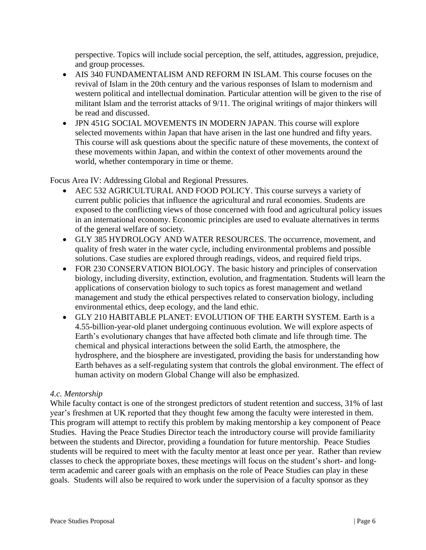perspective. Topics will include social perception, the self, attitudes, aggression, prejudice, and group processes.

- AIS 340 FUNDAMENTALISM AND REFORM IN ISLAM. This course focuses on the revival of Islam in the 20th century and the various responses of Islam to modernism and western political and intellectual domination. Particular attention will be given to the rise of militant Islam and the terrorist attacks of 9/11. The original writings of major thinkers will be read and discussed.
- JPN 451G SOCIAL MOVEMENTS IN MODERN JAPAN. This course will explore selected movements within Japan that have arisen in the last one hundred and fifty years. This course will ask questions about the specific nature of these movements, the context of these movements within Japan, and within the context of other movements around the world, whether contemporary in time or theme.

## Focus Area IV: Addressing Global and Regional Pressures.

- AEC 532 AGRICULTURAL AND FOOD POLICY. This course surveys a variety of current public policies that influence the agricultural and rural economies. Students are exposed to the conflicting views of those concerned with food and agricultural policy issues in an international economy. Economic principles are used to evaluate alternatives in terms of the general welfare of society.
- GLY 385 HYDROLOGY AND WATER RESOURCES. The occurrence, movement, and quality of fresh water in the water cycle, including environmental problems and possible solutions. Case studies are explored through readings, videos, and required field trips.
- FOR 230 CONSERVATION BIOLOGY. The basic history and principles of conservation biology, including diversity, extinction, evolution, and fragmentation. Students will learn the applications of conservation biology to such topics as forest management and wetland management and study the ethical perspectives related to conservation biology, including environmental ethics, deep ecology, and the land ethic.
- GLY 210 HABITABLE PLANET: EVOLUTION OF THE EARTH SYSTEM. Earth is a 4.55-billion-year-old planet undergoing continuous evolution. We will explore aspects of Earth's evolutionary changes that have affected both climate and life through time. The chemical and physical interactions between the solid Earth, the atmosphere, the hydrosphere, and the biosphere are investigated, providing the basis for understanding how Earth behaves as a self-regulating system that controls the global environment. The effect of human activity on modern Global Change will also be emphasized.

# *4.c. Mentorship*

While faculty contact is one of the strongest predictors of student retention and success, 31% of last year's freshmen at UK reported that they thought few among the faculty were interested in them. This program will attempt to rectify this problem by making mentorship a key component of Peace Studies. Having the Peace Studies Director teach the introductory course will provide familiarity between the students and Director, providing a foundation for future mentorship. Peace Studies students will be required to meet with the faculty mentor at least once per year. Rather than review classes to check the appropriate boxes, these meetings will focus on the student's short- and longterm academic and career goals with an emphasis on the role of Peace Studies can play in these goals. Students will also be required to work under the supervision of a faculty sponsor as they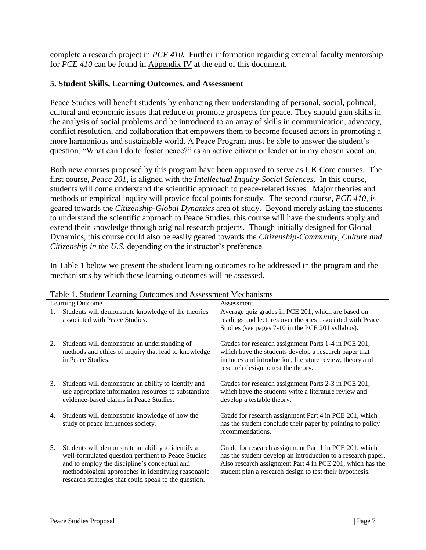complete a research project in *PCE 410*. Further information regarding external faculty mentorship for *PCE 410* can be found in [Appendix IV](#page-43-0) at the end of this document.

## <span id="page-8-0"></span>**5. Student Skills, Learning Outcomes, and Assessment**

Peace Studies will benefit students by enhancing their understanding of personal, social, political, cultural and economic issues that reduce or promote prospects for peace. They should gain skills in the analysis of social problems and be introduced to an array of skills in communication, advocacy, conflict resolution, and collaboration that empowers them to become focused actors in promoting a more harmonious and sustainable world. A Peace Program must be able to answer the student's question, "What can I do to foster peace?" as an active citizen or leader or in my chosen vocation.

Both new courses proposed by this program have been approved to serve as UK Core courses. The first course, *Peace 201*, is aligned with the *Intellectual Inquiry-Social Sciences*. In this course, students will come understand the scientific approach to peace-related issues. Major theories and methods of empirical inquiry will provide focal points for study. The second course, *PCE 410*, is geared towards the *Citizenship-Global Dynamics* area of study. Beyond merely asking the students to understand the scientific approach to Peace Studies, this course will have the students apply and extend their knowledge through original research projects. Though initially designed for Global Dynamics, this course could also be easily geared towards the *Citizenship-Community, Culture and Citizenship in the U.S.* depending on the instructor's preference.

In Table 1 below we present the student learning outcomes to be addressed in the program and the mechanisms by which these learning outcomes will be assessed.

|    | Learning Outcome                                                                                                                                                                                                                                                           | Assessment                                                                                                                                                                                                                                      |
|----|----------------------------------------------------------------------------------------------------------------------------------------------------------------------------------------------------------------------------------------------------------------------------|-------------------------------------------------------------------------------------------------------------------------------------------------------------------------------------------------------------------------------------------------|
|    | Students will demonstrate knowledge of the theories<br>associated with Peace Studies.                                                                                                                                                                                      | Average quiz grades in PCE 201, which are based on<br>readings and lectures over theories associated with Peace<br>Studies (see pages 7-10 in the PCE 201 syllabus).                                                                            |
| 2. | Students will demonstrate an understanding of<br>methods and ethics of inquiry that lead to knowledge<br>in Peace Studies.                                                                                                                                                 | Grades for research assignment Parts 1-4 in PCE 201,<br>which have the students develop a research paper that<br>includes and introduction, literature review, theory and<br>research design to test the theory.                                |
| 3. | Students will demonstrate an ability to identify and<br>use appropriate information resources to substantiate<br>evidence-based claims in Peace Studies.                                                                                                                   | Grades for research assignment Parts 2-3 in PCE 201,<br>which have the students write a literature review and<br>develop a testable theory.                                                                                                     |
| 4. | Students will demonstrate knowledge of how the<br>study of peace influences society.                                                                                                                                                                                       | Grade for research assignment Part 4 in PCE 201, which<br>has the student conclude their paper by pointing to policy<br>recommendations.                                                                                                        |
| 5. | Students will demonstrate an ability to identify a<br>well-formulated question pertinent to Peace Studies<br>and to employ the discipline's conceptual and<br>methodological approaches in identifying reasonable<br>research strategies that could speak to the question. | Grade for research assignment Part 1 in PCE 201, which<br>has the student develop an introduction to a research paper.<br>Also research assignment Part 4 in PCE 201, which has the<br>student plan a research design to test their hypothesis. |

Table 1. Student Learning Outcomes and Assessment Mechanisms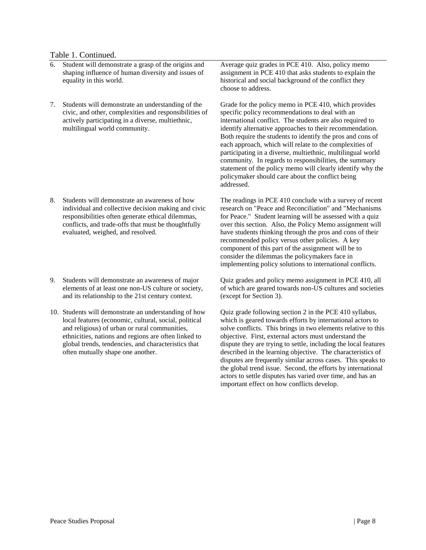#### Table 1. Continued.

- 6. Student will demonstrate a grasp of the origins and shaping influence of human diversity and issues of equality in this world.
- 7. Students will demonstrate an understanding of the civic, and other, complexities and responsibilities of actively participating in a diverse, multiethnic, multilingual world community.

- 8. Students will demonstrate an awareness of how individual and collective decision making and civic responsibilities often generate ethical dilemmas, conflicts, and trade-offs that must be thoughtfully evaluated, weighed, and resolved.
- 9. Students will demonstrate an awareness of major elements of at least one non-US culture or society, and its relationship to the 21st century context.
- 10. Students will demonstrate an understanding of how local features (economic, cultural, social, political and religious) of urban or rural communities, ethnicities, nations and regions are often linked to global trends, tendencies, and characteristics that often mutually shape one another.

Average quiz grades in PCE 410. Also, policy memo assignment in PCE 410 that asks students to explain the historical and social background of the conflict they choose to address.

Grade for the policy memo in PCE 410, which provides specific policy recommendations to deal with an international conflict. The students are also required to identify alternative approaches to their recommendation. Both require the students to identify the pros and cons of each approach, which will relate to the complexities of participating in a diverse, multiethnic, multilingual world community. In regards to responsibilities, the summary statement of the policy memo will clearly identify why the policymaker should care about the conflict being addressed.

The readings in PCE 410 conclude with a survey of recent research on "Peace and Reconciliation" and "Mechanisms for Peace." Student learning will be assessed with a quiz over this section. Also, the Policy Memo assignment will have students thinking through the pros and cons of their recommended policy versus other policies. A key component of this part of the assignment will be to consider the dilemmas the policymakers face in implementing policy solutions to international conflicts.

Quiz grades and policy memo assignment in PCE 410, all of which are geared towards non-US cultures and societies (except for Section 3).

Quiz grade following section 2 in the PCE 410 syllabus, which is geared towards efforts by international actors to solve conflicts. This brings in two elements relative to this objective. First, external actors must understand the dispute they are trying to settle, including the local features described in the learning objective. The characteristics of disputes are frequently similar across cases. This speaks to the global trend issue. Second, the efforts by international actors to settle disputes has varied over time, and has an important effect on how conflicts develop.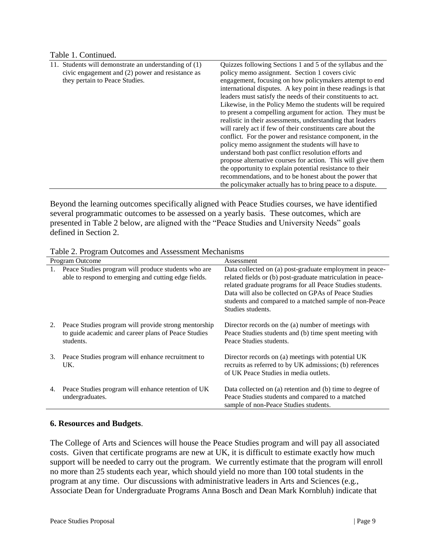## Table 1. Continued.

| 11. Students will demonstrate an understanding of (1) | Quizzes following Sections 1 and 5 of the syllabus and the    |
|-------------------------------------------------------|---------------------------------------------------------------|
| civic engagement and (2) power and resistance as      | policy memo assignment. Section 1 covers civic                |
| they pertain to Peace Studies.                        | engagement, focusing on how policymakers attempt to end       |
|                                                       | international disputes. A key point in these readings is that |
|                                                       | leaders must satisfy the needs of their constituents to act.  |
|                                                       | Likewise, in the Policy Memo the students will be required    |
|                                                       | to present a compelling argument for action. They must be     |
|                                                       | realistic in their assessments, understanding that leaders    |
|                                                       | will rarely act if few of their constituents care about the   |
|                                                       | conflict. For the power and resistance component, in the      |
|                                                       | policy memo assignment the students will have to              |
|                                                       | understand both past conflict resolution efforts and          |
|                                                       | propose alternative courses for action. This will give them   |
|                                                       | the opportunity to explain potential resistance to their      |
|                                                       | recommendations, and to be honest about the power that        |
|                                                       | the policymaker actually has to bring peace to a dispute.     |

Beyond the learning outcomes specifically aligned with Peace Studies courses, we have identified several programmatic outcomes to be assessed on a yearly basis. These outcomes, which are presented in Table 2 below, are aligned with the "Peace Studies and University Needs" goals defined in Section 2.

Table 2. Program Outcomes and Assessment Mechanisms

|    | Program Outcome                                                                                                          | Assessment                                                                                                                                                                                                                                                                                                                  |
|----|--------------------------------------------------------------------------------------------------------------------------|-----------------------------------------------------------------------------------------------------------------------------------------------------------------------------------------------------------------------------------------------------------------------------------------------------------------------------|
| 1. | Peace Studies program will produce students who are<br>able to respond to emerging and cutting edge fields.              | Data collected on (a) post-graduate employment in peace-<br>related fields or (b) post-graduate matriculation in peace-<br>related graduate programs for all Peace Studies students.<br>Data will also be collected on GPAs of Peace Studies<br>students and compared to a matched sample of non-Peace<br>Studies students. |
| 2. | Peace Studies program will provide strong mentorship<br>to guide academic and career plans of Peace Studies<br>students. | Director records on the (a) number of meetings with<br>Peace Studies students and (b) time spent meeting with<br>Peace Studies students.                                                                                                                                                                                    |
| 3. | Peace Studies program will enhance recruitment to<br>UK.                                                                 | Director records on (a) meetings with potential UK<br>recruits as referred to by UK admissions; (b) references<br>of UK Peace Studies in media outlets.                                                                                                                                                                     |
| 4. | Peace Studies program will enhance retention of UK<br>undergraduates.                                                    | Data collected on (a) retention and (b) time to degree of<br>Peace Studies students and compared to a matched<br>sample of non-Peace Studies students.                                                                                                                                                                      |

## <span id="page-10-0"></span>**6. Resources and Budgets**.

The College of Arts and Sciences will house the Peace Studies program and will pay all associated costs. Given that certificate programs are new at UK, it is difficult to estimate exactly how much support will be needed to carry out the program. We currently estimate that the program will enroll no more than 25 students each year, which should yield no more than 100 total students in the program at any time. Our discussions with administrative leaders in Arts and Sciences (e.g., Associate Dean for Undergraduate Programs Anna Bosch and Dean Mark Kornbluh) indicate that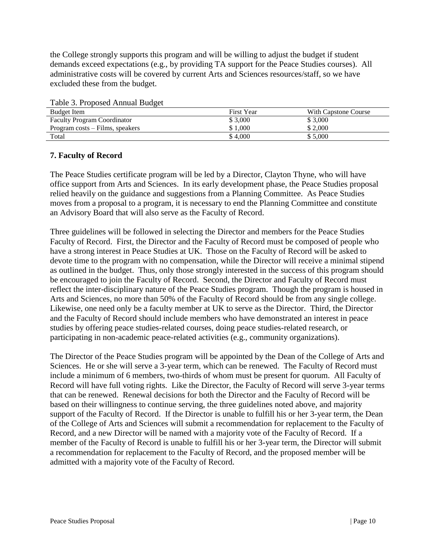the College strongly supports this program and will be willing to adjust the budget if student demands exceed expectations (e.g., by providing TA support for the Peace Studies courses). All administrative costs will be covered by current Arts and Sciences resources/staff, so we have excluded these from the budget.

| Tuble 5. I Toposed Thingui Dudget  |                   |                      |
|------------------------------------|-------------------|----------------------|
| Budget Item                        | <b>First Year</b> | With Capstone Course |
| <b>Faculty Program Coordinator</b> | \$3,000           | \$3,000              |
| Program costs – Films, speakers    | \$1.000           | \$2,000              |
| Total                              | \$4,000           | \$5,000              |

Table 3. Proposed Annual Budget

## <span id="page-11-0"></span>**7. Faculty of Record**

The Peace Studies certificate program will be led by a Director, Clayton Thyne, who will have office support from Arts and Sciences. In its early development phase, the Peace Studies proposal relied heavily on the guidance and suggestions from a Planning Committee. As Peace Studies moves from a proposal to a program, it is necessary to end the Planning Committee and constitute an Advisory Board that will also serve as the Faculty of Record.

Three guidelines will be followed in selecting the Director and members for the Peace Studies Faculty of Record. First, the Director and the Faculty of Record must be composed of people who have a strong interest in Peace Studies at UK. Those on the Faculty of Record will be asked to devote time to the program with no compensation, while the Director will receive a minimal stipend as outlined in the budget. Thus, only those strongly interested in the success of this program should be encouraged to join the Faculty of Record. Second, the Director and Faculty of Record must reflect the inter-disciplinary nature of the Peace Studies program. Though the program is housed in Arts and Sciences, no more than 50% of the Faculty of Record should be from any single college. Likewise, one need only be a faculty member at UK to serve as the Director. Third, the Director and the Faculty of Record should include members who have demonstrated an interest in peace studies by offering peace studies-related courses, doing peace studies-related research, or participating in non-academic peace-related activities (e.g., community organizations).

The Director of the Peace Studies program will be appointed by the Dean of the College of Arts and Sciences. He or she will serve a 3-year term, which can be renewed. The Faculty of Record must include a minimum of 6 members, two-thirds of whom must be present for quorum. All Faculty of Record will have full voting rights. Like the Director, the Faculty of Record will serve 3-year terms that can be renewed. Renewal decisions for both the Director and the Faculty of Record will be based on their willingness to continue serving, the three guidelines noted above, and majority support of the Faculty of Record. If the Director is unable to fulfill his or her 3-year term, the Dean of the College of Arts and Sciences will submit a recommendation for replacement to the Faculty of Record, and a new Director will be named with a majority vote of the Faculty of Record. If a member of the Faculty of Record is unable to fulfill his or her 3-year term, the Director will submit a recommendation for replacement to the Faculty of Record, and the proposed member will be admitted with a majority vote of the Faculty of Record.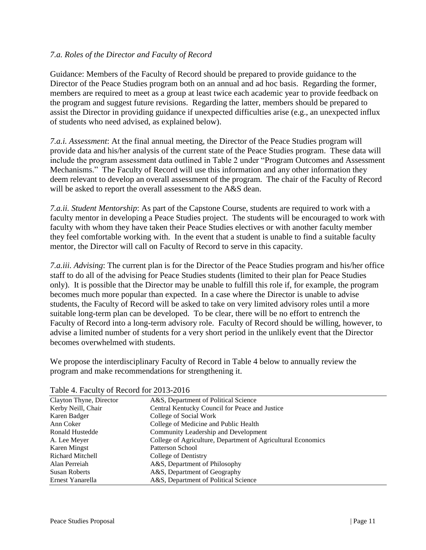## *7.a. Roles of the Director and Faculty of Record*

Guidance: Members of the Faculty of Record should be prepared to provide guidance to the Director of the Peace Studies program both on an annual and ad hoc basis. Regarding the former, members are required to meet as a group at least twice each academic year to provide feedback on the program and suggest future revisions. Regarding the latter, members should be prepared to assist the Director in providing guidance if unexpected difficulties arise (e.g., an unexpected influx of students who need advised, as explained below).

*7.a.i. Assessment*: At the final annual meeting, the Director of the Peace Studies program will provide data and his/her analysis of the current state of the Peace Studies program. These data will include the program assessment data outlined in Table 2 under "Program Outcomes and Assessment Mechanisms." The Faculty of Record will use this information and any other information they deem relevant to develop an overall assessment of the program. The chair of the Faculty of Record will be asked to report the overall assessment to the A&S dean.

*7.a.ii. Student Mentorship*: As part of the Capstone Course, students are required to work with a faculty mentor in developing a Peace Studies project. The students will be encouraged to work with faculty with whom they have taken their Peace Studies electives or with another faculty member they feel comfortable working with. In the event that a student is unable to find a suitable faculty mentor, the Director will call on Faculty of Record to serve in this capacity.

*7.a.iii. Advising*: The current plan is for the Director of the Peace Studies program and his/her office staff to do all of the advising for Peace Studies students (limited to their plan for Peace Studies only). It is possible that the Director may be unable to fulfill this role if, for example, the program becomes much more popular than expected. In a case where the Director is unable to advise students, the Faculty of Record will be asked to take on very limited advisory roles until a more suitable long-term plan can be developed. To be clear, there will be no effort to entrench the Faculty of Record into a long-term advisory role. Faculty of Record should be willing, however, to advise a limited number of students for a very short period in the unlikely event that the Director becomes overwhelmed with students.

We propose the interdisciplinary Faculty of Record in Table 4 below to annually review the program and make recommendations for strengthening it.

| Clayton Thyne, Director | A&S, Department of Political Science                         |
|-------------------------|--------------------------------------------------------------|
| Kerby Neill, Chair      | Central Kentucky Council for Peace and Justice               |
| Karen Badger            | College of Social Work                                       |
| Ann Coker               | College of Medicine and Public Health                        |
| Ronald Hustedde         | Community Leadership and Development                         |
| A. Lee Meyer            | College of Agriculture, Department of Agricultural Economics |
| Karen Mingst            | Patterson School                                             |
| Richard Mitchell        | College of Dentistry                                         |
| Alan Perreiah           | A&S, Department of Philosophy                                |
| <b>Susan Roberts</b>    | A&S, Department of Geography                                 |
| Ernest Yanarella        | A&S, Department of Political Science                         |

Table 4. Faculty of Record for 2013-2016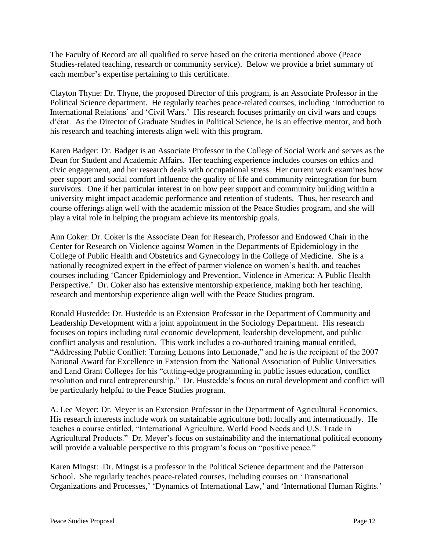The Faculty of Record are all qualified to serve based on the criteria mentioned above (Peace Studies-related teaching, research or community service). Below we provide a brief summary of each member's expertise pertaining to this certificate.

Clayton Thyne: Dr. Thyne, the proposed Director of this program, is an Associate Professor in the Political Science department. He regularly teaches peace-related courses, including 'Introduction to International Relations' and 'Civil Wars.' His research focuses primarily on civil wars and coups d'état. As the Director of Graduate Studies in Political Science, he is an effective mentor, and both his research and teaching interests align well with this program.

Karen Badger: Dr. Badger is an Associate Professor in the College of Social Work and serves as the Dean for Student and Academic Affairs. Her teaching experience includes courses on ethics and civic engagement, and her research deals with occupational stress. Her current work examines how peer support and social comfort influence the quality of life and community reintegration for burn survivors. One if her particular interest in on how peer support and community building within a university might impact academic performance and retention of students. Thus, her research and course offerings align well with the academic mission of the Peace Studies program, and she will play a vital role in helping the program achieve its mentorship goals.

Ann Coker: Dr. Coker is the Associate Dean for Research, Professor and Endowed Chair in the Center for Research on Violence against Women in the Departments of Epidemiology in the College of Public Health and Obstetrics and Gynecology in the College of Medicine. She is a nationally recognized expert in the effect of partner violence on women's health, and teaches courses including 'Cancer Epidemiology and Prevention, Violence in America: A Public Health Perspective.' Dr. Coker also has extensive mentorship experience, making both her teaching, research and mentorship experience align well with the Peace Studies program.

Ronald Hustedde: Dr. Hustedde is an Extension Professor in the Department of Community and Leadership Development with a joint appointment in the Sociology Department. His research focuses on topics including rural economic development, leadership development, and public conflict analysis and resolution. This work includes a co-authored training manual entitled, "Addressing Public Conflict: Turning Lemons into Lemonade," and he is the recipient of the 2007 National Award for Excellence in Extension from the National Association of Public Universities and Land Grant Colleges for his "cutting-edge programming in public issues education, conflict resolution and rural entrepreneurship." Dr. Hustedde's focus on rural development and conflict will be particularly helpful to the Peace Studies program.

A. Lee Meyer: Dr. Meyer is an Extension Professor in the Department of Agricultural Economics. His research interests include work on sustainable agriculture both locally and internationally. He teaches a course entitled, "International Agriculture, World Food Needs and U.S. Trade in Agricultural Products." Dr. Meyer's focus on sustainability and the international political economy will provide a valuable perspective to this program's focus on "positive peace."

Karen Mingst: Dr. Mingst is a professor in the Political Science department and the Patterson School. She regularly teaches peace-related courses, including courses on 'Transnational Organizations and Processes,' 'Dynamics of International Law,' and 'International Human Rights.'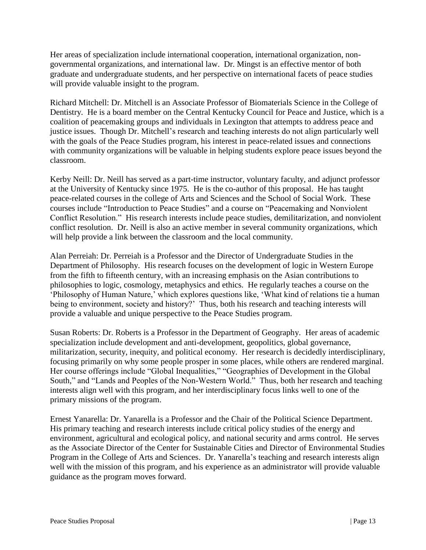Her areas of specialization include international cooperation, international organization, nongovernmental organizations, and international law. Dr. Mingst is an effective mentor of both graduate and undergraduate students, and her perspective on international facets of peace studies will provide valuable insight to the program.

Richard Mitchell: Dr. Mitchell is an Associate Professor of Biomaterials Science in the College of Dentistry. He is a board member on the Central Kentucky Council for Peace and Justice, which is a coalition of peacemaking groups and individuals in Lexington that attempts to address peace and justice issues. Though Dr. Mitchell's research and teaching interests do not align particularly well with the goals of the Peace Studies program, his interest in peace-related issues and connections with community organizations will be valuable in helping students explore peace issues beyond the classroom.

Kerby Neill: Dr. Neill has served as a part-time instructor, voluntary faculty, and adjunct professor at the University of Kentucky since 1975. He is the co-author of this proposal. He has taught peace-related courses in the college of Arts and Sciences and the School of Social Work. These courses include "Introduction to Peace Studies" and a course on "Peacemaking and Nonviolent Conflict Resolution." His research interests include peace studies, demilitarization, and nonviolent conflict resolution. Dr. Neill is also an active member in several community organizations, which will help provide a link between the classroom and the local community.

Alan Perreiah: Dr. Perreiah is a Professor and the Director of Undergraduate Studies in the Department of Philosophy. His research focuses on the development of logic in Western Europe from the fifth to fifteenth century, with an increasing emphasis on the Asian contributions to philosophies to logic, cosmology, metaphysics and ethics. He regularly teaches a course on the 'Philosophy of Human Nature,' which explores questions like, 'What kind of relations tie a human being to environment, society and history?' Thus, both his research and teaching interests will provide a valuable and unique perspective to the Peace Studies program.

Susan Roberts: Dr. Roberts is a Professor in the Department of Geography. Her areas of academic specialization include development and anti-development, geopolitics, global governance, militarization, security, inequity, and political economy. Her research is decidedly interdisciplinary, focusing primarily on why some people prosper in some places, while others are rendered marginal. Her course offerings include "Global Inequalities," "Geographies of Development in the Global South," and "Lands and Peoples of the Non-Western World." Thus, both her research and teaching interests align well with this program, and her interdisciplinary focus links well to one of the primary missions of the program.

Ernest Yanarella: Dr. Yanarella is a Professor and the Chair of the Political Science Department. His primary teaching and research interests include critical policy studies of the energy and environment, agricultural and ecological policy, and national security and arms control. He serves as the Associate Director of the Center for Sustainable Cities and Director of Environmental Studies Program in the College of Arts and Sciences. Dr. Yanarella's teaching and research interests align well with the mission of this program, and his experience as an administrator will provide valuable guidance as the program moves forward.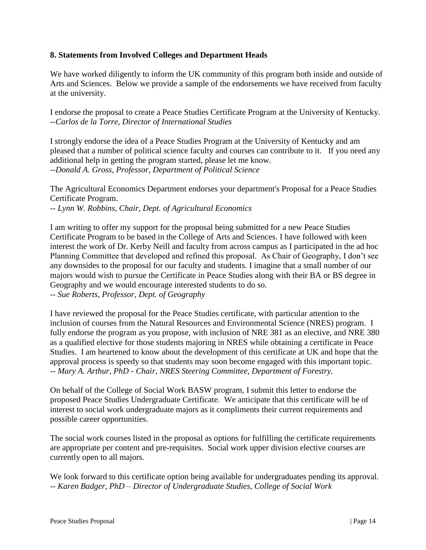## <span id="page-15-0"></span>**8. Statements from Involved Colleges and Department Heads**

We have worked diligently to inform the UK community of this program both inside and outside of Arts and Sciences. Below we provide a sample of the endorsements we have received from faculty at the university.

I endorse the proposal to create a Peace Studies Certificate Program at the University of Kentucky. *--Carlos de la Torre, Director of International Studies*

I strongly endorse the idea of a Peace Studies Program at the University of Kentucky and am pleased that a number of political science faculty and courses can contribute to it. If you need any additional help in getting the program started, please let me know. --*Donald A. Gross, Professor, Department of Political Science*

The Agricultural Economics Department endorses your department's Proposal for a Peace Studies Certificate Program.

-- *Lynn W. Robbins, Chair, Dept. of Agricultural Economics*

I am writing to offer my support for the proposal being submitted for a new Peace Studies Certificate Program to be based in the College of Arts and Sciences. I have followed with keen interest the work of Dr. Kerby Neill and faculty from across campus as I participated in the ad hoc Planning Committee that developed and refined this proposal. As Chair of Geography, I don't see any downsides to the proposal for our faculty and students. I imagine that a small number of our majors would wish to pursue the Certificate in Peace Studies along with their BA or BS degree in Geography and we would encourage interested students to do so. -- *Sue Roberts, Professor, Dept. of Geography*

I have reviewed the proposal for the Peace Studies certificate, with particular attention to the inclusion of courses from the Natural Resources and Environmental Science (NRES) program. I fully endorse the program as you propose, with inclusion of NRE 381 as an elective, and NRE 380 as a qualified elective for those students majoring in NRES while obtaining a certificate in Peace Studies. I am heartened to know about the development of this certificate at UK and hope that the approval process is speedy so that students may soon become engaged with this important topic. -- *Mary A. Arthur, PhD - Chair, NRES Steering Committee, Department of Forestry.*

On behalf of the College of Social Work BASW program, I submit this letter to endorse the proposed Peace Studies Undergraduate Certificate. We anticipate that this certificate will be of interest to social work undergraduate majors as it compliments their current requirements and possible career opportunities.

The social work courses listed in the proposal as options for fulfilling the certificate requirements are appropriate per content and pre-requisites. Social work upper division elective courses are currently open to all majors.

We look forward to this certificate option being available for undergraduates pending its approval. *-- Karen Badger, PhD – Director of Undergraduate Studies, College of Social Work*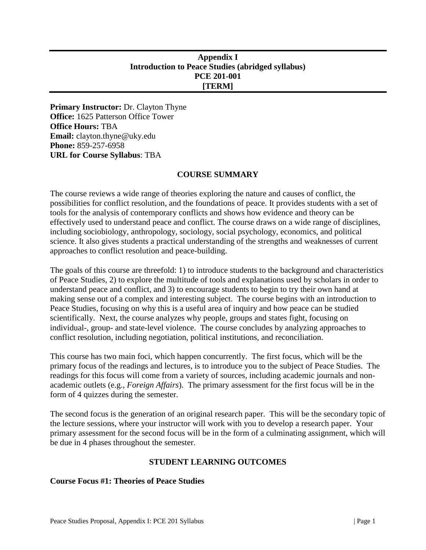# <span id="page-16-0"></span>**Appendix I Introduction to Peace Studies (abridged syllabus) PCE 201-001 [TERM]**

**Primary Instructor:** Dr. Clayton Thyne **Office:** 1625 Patterson Office Tower **Office Hours:** TBA **Email:** clayton.thyne@uky.edu **Phone:** 859-257-6958 **URL for Course Syllabus**: TBA

## **COURSE SUMMARY**

The course reviews a wide range of theories exploring the nature and causes of conflict, the possibilities for conflict resolution, and the foundations of peace. It provides students with a set of tools for the analysis of contemporary conflicts and shows how evidence and theory can be effectively used to understand peace and conflict. The course draws on a wide range of disciplines, including sociobiology, anthropology, sociology, social psychology, economics, and political science. It also gives students a practical understanding of the strengths and weaknesses of current approaches to conflict resolution and peace-building.

The goals of this course are threefold: 1) to introduce students to the background and characteristics of Peace Studies, 2) to explore the multitude of tools and explanations used by scholars in order to understand peace and conflict, and 3) to encourage students to begin to try their own hand at making sense out of a complex and interesting subject. The course begins with an introduction to Peace Studies, focusing on why this is a useful area of inquiry and how peace can be studied scientifically. Next, the course analyzes why people, groups and states fight, focusing on individual-, group- and state-level violence. The course concludes by analyzing approaches to conflict resolution, including negotiation, political institutions, and reconciliation.

This course has two main foci, which happen concurrently. The first focus, which will be the primary focus of the readings and lectures, is to introduce you to the subject of Peace Studies. The readings for this focus will come from a variety of sources, including academic journals and nonacademic outlets (e.g., *Foreign Affairs*). The primary assessment for the first focus will be in the form of 4 quizzes during the semester.

The second focus is the generation of an original research paper. This will be the secondary topic of the lecture sessions, where your instructor will work with you to develop a research paper. Your primary assessment for the second focus will be in the form of a culminating assignment, which will be due in 4 phases throughout the semester.

# **STUDENT LEARNING OUTCOMES**

## **Course Focus #1: Theories of Peace Studies**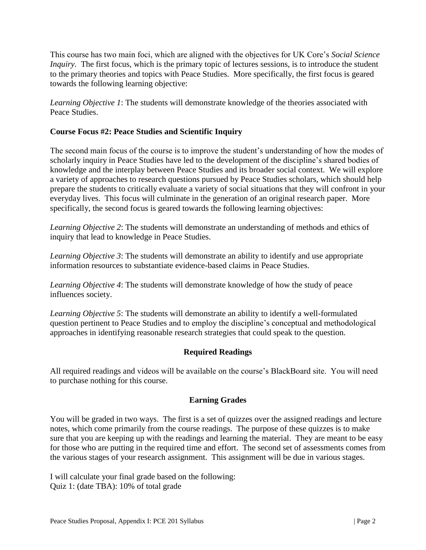This course has two main foci, which are aligned with the objectives for UK Core's *Social Science Inquiry*. The first focus, which is the primary topic of lectures sessions, is to introduce the student to the primary theories and topics with Peace Studies. More specifically, the first focus is geared towards the following learning objective:

*Learning Objective 1*: The students will demonstrate knowledge of the theories associated with Peace Studies.

# **Course Focus #2: Peace Studies and Scientific Inquiry**

The second main focus of the course is to improve the student's understanding of how the modes of scholarly inquiry in Peace Studies have led to the development of the discipline's shared bodies of knowledge and the interplay between Peace Studies and its broader social context. We will explore a variety of approaches to research questions pursued by Peace Studies scholars, which should help prepare the students to critically evaluate a variety of social situations that they will confront in your everyday lives. This focus will culminate in the generation of an original research paper. More specifically, the second focus is geared towards the following learning objectives:

*Learning Objective 2*: The students will demonstrate an understanding of methods and ethics of inquiry that lead to knowledge in Peace Studies.

*Learning Objective 3*: The students will demonstrate an ability to identify and use appropriate information resources to substantiate evidence-based claims in Peace Studies.

*Learning Objective 4*: The students will demonstrate knowledge of how the study of peace influences society.

*Learning Objective 5*: The students will demonstrate an ability to identify a well-formulated question pertinent to Peace Studies and to employ the discipline's conceptual and methodological approaches in identifying reasonable research strategies that could speak to the question.

# **Required Readings**

All required readings and videos will be available on the course's BlackBoard site. You will need to purchase nothing for this course.

# **Earning Grades**

You will be graded in two ways. The first is a set of quizzes over the assigned readings and lecture notes, which come primarily from the course readings. The purpose of these quizzes is to make sure that you are keeping up with the readings and learning the material. They are meant to be easy for those who are putting in the required time and effort. The second set of assessments comes from the various stages of your research assignment. This assignment will be due in various stages.

I will calculate your final grade based on the following: Quiz 1: (date TBA): 10% of total grade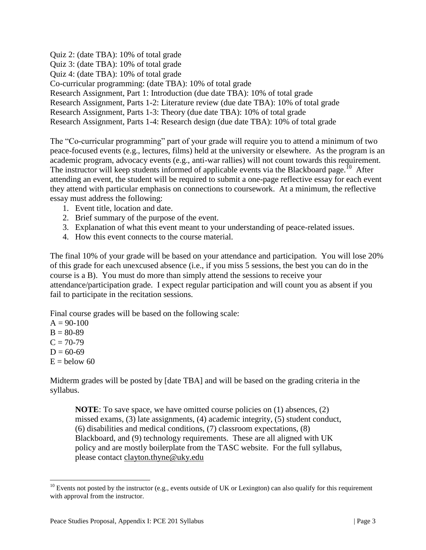Quiz 2: (date TBA): 10% of total grade Quiz 3: (date TBA): 10% of total grade Quiz 4: (date TBA): 10% of total grade Co-curricular programming: (date TBA): 10% of total grade Research Assignment, Part 1: Introduction (due date TBA): 10% of total grade Research Assignment, Parts 1-2: Literature review (due date TBA): 10% of total grade Research Assignment, Parts 1-3: Theory (due date TBA): 10% of total grade Research Assignment, Parts 1-4: Research design (due date TBA): 10% of total grade

The "Co-curricular programming" part of your grade will require you to attend a minimum of two peace-focused events (e.g., lectures, films) held at the university or elsewhere. As the program is an academic program, advocacy events (e.g., anti-war rallies) will not count towards this requirement. The instructor will keep students informed of applicable events via the Blackboard page.<sup>10</sup> After attending an event, the student will be required to submit a one-page reflective essay for each event they attend with particular emphasis on connections to coursework. At a minimum, the reflective essay must address the following:

- 1. Event title, location and date.
- 2. Brief summary of the purpose of the event.
- 3. Explanation of what this event meant to your understanding of peace-related issues.
- 4. How this event connects to the course material.

The final 10% of your grade will be based on your attendance and participation. You will lose 20% of this grade for each unexcused absence (i.e., if you miss 5 sessions, the best you can do in the course is a B). You must do more than simply attend the sessions to receive your attendance/participation grade. I expect regular participation and will count you as absent if you fail to participate in the recitation sessions.

Final course grades will be based on the following scale:

 $A = 90-100$  $B = 80-89$  $C = 70-79$  $D = 60-69$  $E =$  below 60

 $\overline{a}$ 

Midterm grades will be posted by [date TBA] and will be based on the grading criteria in the syllabus.

**NOTE:** To save space, we have omitted course policies on (1) absences, (2) missed exams, (3) late assignments, (4) academic integrity, (5) student conduct, (6) disabilities and medical conditions, (7) classroom expectations, (8) Blackboard, and (9) technology requirements. These are all aligned with UK policy and are mostly boilerplate from the TASC website. For the full syllabus, please contact [clayton.thyne@uky.edu](mailto:clayton.thyne@uky.edu)

 $10$  Events not posted by the instructor (e.g., events outside of UK or Lexington) can also qualify for this requirement with approval from the instructor.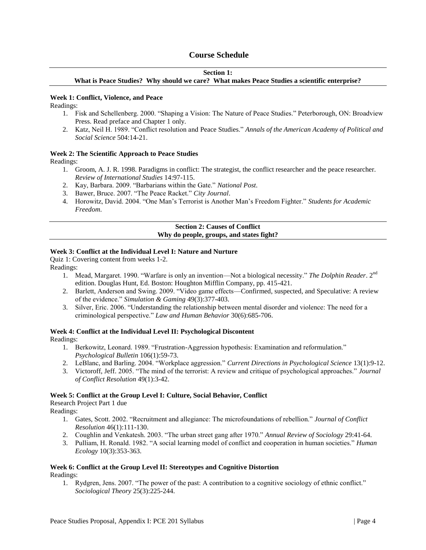## **Course Schedule**

## **Section 1:**

**What is Peace Studies? Why should we care? What makes Peace Studies a scientific enterprise?**

#### **Week 1: Conflict, Violence, and Peace**

Readings:

- 1. Fisk and Schellenberg. 2000. "Shaping a Vision: The Nature of Peace Studies." Peterborough, ON: Broadview Press. Read preface and Chapter 1 only.
- 2. Katz, Neil H. 1989. "Conflict resolution and Peace Studies." *Annals of the American Academy of Political and Social Science* 504:14-21.

#### **Week 2: The Scientific Approach to Peace Studies**

Readings:

- 1. Groom, A. J. R. 1998. Paradigms in conflict: The strategist, the conflict researcher and the peace researcher. *Review of International Studies* 14:97-115.
- 2. Kay, Barbara. 2009. "Barbarians within the Gate." *National Post*.
- 3. Bawer, Bruce. 2007. "The Peace Racket." *City Journal*.
- 4. Horowitz, David. 2004. "One Man's Terrorist is Another Man's Freedom Fighter." *Students for Academic Freedom*.

#### **Section 2: Causes of Conflict Why do people, groups, and states fight?**

#### **Week 3: Conflict at the Individual Level I: Nature and Nurture**

Quiz 1: Covering content from weeks 1-2.

Readings:

- 1. Mead, Margaret. 1990. "Warfare is only an invention—Not a biological necessity." *The Dolphin Reader*. 2nd edition. Douglas Hunt, Ed. Boston: Houghton Mifflin Company, pp. 415-421.
- 2. Barlett, Anderson and Swing. 2009. "Video game effects—Confirmed, suspected, and Speculative: A review of the evidence." *Simulation & Gaming* 49(3):377-403.
- 3. Silver, Eric. 2006. "Understanding the relationship between mental disorder and violence: The need for a criminological perspective." *Law and Human Behavior* 30(6):685-706.

# **Week 4: Conflict at the Individual Level II: Psychological Discontent**

Readings:

- 1. Berkowitz, Leonard. 1989. "Frustration-Aggression hypothesis: Examination and reformulation." *Psychological Bulletin* 106(1):59-73.
- 2. LeBlanc, and Barling. 2004. "Workplace aggression." *Current Directions in Psychological Science* 13(1):9-12.
- 3. Victoroff, Jeff. 2005. "The mind of the terrorist: A review and critique of psychological approaches." *Journal of Conflict Resolution* 49(1):3-42.

#### **Week 5: Conflict at the Group Level I: Culture, Social Behavior, Conflict**

Research Project Part 1 due Readings:

- 1. Gates, Scott. 2002. "Recruitment and allegiance: The microfoundations of rebellion." *Journal of Conflict Resolution* 46(1):111-130.
- 2. Coughlin and Venkatesh. 2003. "The urban street gang after 1970." *Annual Review of Sociology* 29:41-64.
- 3. Pulliam, H. Ronald. 1982. "A social learning model of conflict and cooperation in human societies." *Human Ecology* 10(3):353-363.

#### **Week 6: Conflict at the Group Level II: Stereotypes and Cognitive Distortion** Readings:

1. Rydgren, Jens. 2007. "The power of the past: A contribution to a cognitive sociology of ethnic conflict." *Sociological Theory* 25(3):225-244.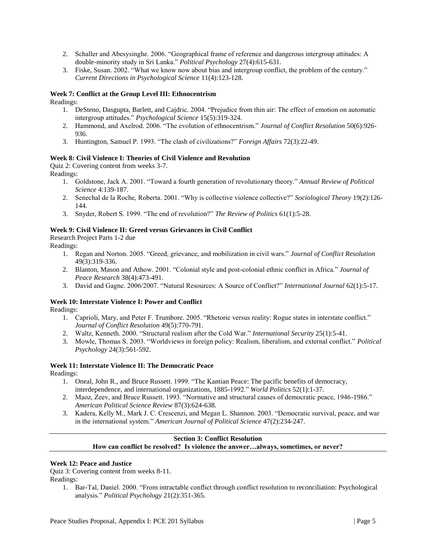- 2. Schaller and Abesysinghe. 2006. "Geographical frame of reference and dangerous intergroup attitudes: A double-minority study in Sri Lanka." *Political Psychology* 27(4):615-631.
- 3. Fiske, Susan. 2002. "What we know now about bias and intergroup conflict, the problem of the century." *Current Directions in Psychological Science* 11(4):123-128.

#### **Week 7: Conflict at the Group Level III: Ethnocentrism**

Readings:

- 1. DeSteno, Dasgupta, Barlett, and Cajdric. 2004. "Prejudice from thin air: The effect of emotion on automatic intergroup attitudes." *Psychological Science* 15(5):319-324.
- 2. Hammond, and Axelrod. 2006. "The evolution of ethnocentrism." *Journal of Conflict Resolution* 50(6):926- 936.
- 3. Huntington, Samuel P. 1993. "The clash of civilizations?" *Foreign Affairs* 72(3):22-49.

#### **Week 8: Civil Violence I: Theories of Civil Violence and Revolution**

Quiz 2: Covering content from weeks 3-7. Readings:

- 1. Goldstone, Jack A. 2001. "Toward a fourth generation of revolutionary theory." *Annual Review of Political Science* 4:139-187.
- 2. Senechal de la Roche, Roberta. 2001. "Why is collective violence collective?" *Sociological Theory* 19(2):126- 144.
- 3. Snyder, Robert S. 1999. "The end of revolution?" *The Review of Politics* 61(1):5-28.

#### **Week 9: Civil Violence II: Greed versus Grievances in Civil Conflict**

Research Project Parts 1-2 due

Readings:

- 1. Regan and Norton. 2005. "Greed, grievance, and mobilization in civil wars." *Journal of Conflict Resolution* 49(3):319-336.
- 2. Blanton, Mason and Athow. 2001. "Colonial style and post-colonial ethnic conflict in Africa." *Journal of Peace Research* 38(4):473-491.
- 3. David and Gagne. 2006/2007. "Natural Resources: A Source of Conflict?" *International Journal* 62(1):5-17.

## **Week 10: Interstate Violence I: Power and Conflict**

Readings:

- 1. Caprioli, Mary, and Peter F. Trumbore. 2005. "Rhetoric versus reality: Rogue states in interstate conflict." *Journal of Conflict Resolution* 49(5):770-791.
- 2. Waltz, Kenneth. 2000. "Structural realism after the Cold War." *International Security* 25(1):5-41.
- 3. Mowle, Thomas S. 2003. "Worldviews in foreign policy: Realism, liberalism, and external conflict." *Political Psychology* 24(3):561-592.

# **Week 11: Interstate Violence II: The Democratic Peace**

Readings:

- 1. Oneal, John R., and Bruce Russett. 1999. "The Kantian Peace: The pacific benefits of democracy, interdependence, and international organizations, 1885-1992." *World Politics* 52(1):1-37.
- 2. Maoz, Zeev, and Bruce Russett. 1993. "Normative and structural causes of democratic peace, 1946-1986." *American Political Science Review* 87(3):624-638.
- 3. Kadera, Kelly M., Mark J. C. Crescenzi, and Megan L. Shannon. 2003. "Democratic survival, peace, and war in the international system." *American Journal of Political Science* 47(2):234-247.

#### **Section 3: Conflict Resolution How can conflict be resolved? Is violence the answer…always, sometimes, or never?**

#### **Week 12: Peace and Justice**

Quiz 3: Covering content from weeks 8-11.

Readings:

1. Bar-Tal, Daniel. 2000. "From intractable conflict through conflict resolution to reconciliation: Psychological analysis." *Political Psychology* 21(2):351-365.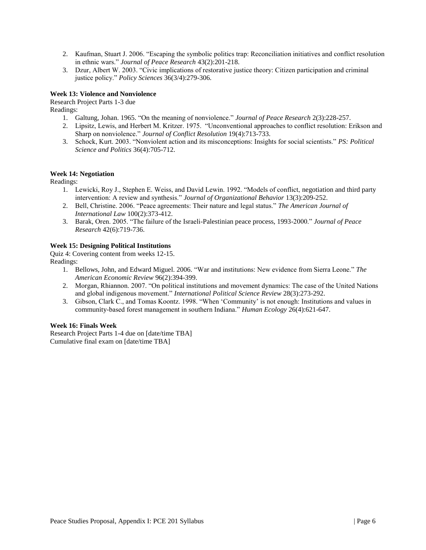- 2. Kaufman, Stuart J. 2006. "Escaping the symbolic politics trap: Reconciliation initiatives and conflict resolution in ethnic wars." *Journal of Peace Research* 43(2):201-218.
- 3. Dzur, Albert W. 2003. "Civic implications of restorative justice theory: Citizen participation and criminal justice policy." *Policy Sciences* 36(3/4):279-306.

#### **Week 13: Violence and Nonviolence**

Research Project Parts 1-3 due

Readings:

- 1. Galtung, Johan. 1965. "On the meaning of nonviolence." *Journal of Peace Research* 2(3):228-257.
- 2. Lipsitz, Lewis, and Herbert M. Kritzer. 1975. "Unconventional approaches to conflict resolution: Erikson and Sharp on nonviolence." *Journal of Conflict Resolution* 19(4):713-733.
- 3. Schock, Kurt. 2003. "Nonviolent action and its misconceptions: Insights for social scientists." *PS: Political Science and Politics* 36(4):705-712.

#### **Week 14: Negotiation**

Readings:

- 1. Lewicki, Roy J., Stephen E. Weiss, and David Lewin. 1992. "Models of conflict, negotiation and third party intervention: A review and synthesis." *Journal of Organizational Behavior* 13(3):209-252.
- 2. Bell, Christine. 2006. "Peace agreements: Their nature and legal status." *The American Journal of International Law* 100(2):373-412.
- 3. Barak, Oren. 2005. "The failure of the Israeli-Palestinian peace process, 1993-2000." *Journal of Peace Research* 42(6):719-736.

#### **Week 15: Designing Political Institutions**

Quiz 4: Covering content from weeks 12-15. Readings:

- 1. Bellows, John, and Edward Miguel. 2006. "War and institutions: New evidence from Sierra Leone." *The American Economic Review* 96(2):394-399.
- 2. Morgan, Rhiannon. 2007. "On political institutions and movement dynamics: The case of the United Nations and global indigenous movement." *International Political Science Review* 28(3):273-292.
- 3. Gibson, Clark C., and Tomas Koontz. 1998. "When 'Community' is not enough: Institutions and values in community-based forest management in southern Indiana." *Human Ecology* 26(4):621-647.

#### **Week 16: Finals Week**

Research Project Parts 1-4 due on [date/time TBA] Cumulative final exam on [date/time TBA]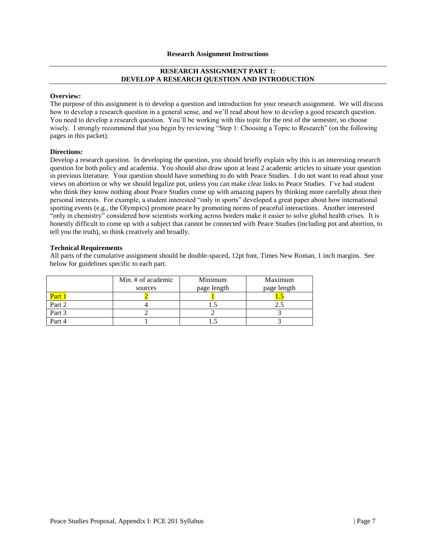#### **Research Assignment Instructions**

#### **RESEARCH ASSIGNMENT PART 1: DEVELOP A RESEARCH QUESTION AND INTRODUCTION**

#### **Overview:**

The purpose of this assignment is to develop a question and introduction for your research assignment. We will discuss how to develop a research question in a general sense, and we'll read about how to develop a good research question. You need to develop a research question. You'll be working with this topic for the rest of the semester, so choose wisely. I strongly recommend that you begin by reviewing "Step 1: Choosing a Topic to Research" (on the following pages in this packet).

#### **Directions:**

Develop a research question. In developing the question, you should briefly explain why this is an interesting research question for both policy and academia. You should also draw upon at least 2 academic articles to situate your question in previous literature. Your question should have something to do with Peace Studies. I do not want to read about your views on abortion or why we should legalize pot, unless you can make clear links to Peace Studies. I've had student who think they know nothing about Peace Studies come up with amazing papers by thinking more carefully about their personal interests. For example, a student interested "only in sports" developed a great paper about how international sporting events (e.g., the Olympics) promote peace by promoting norms of peaceful interactions. Another interested "only in chemistry" considered how scientists working across borders make it easier to solve global health crises. It is honestly difficult to come up with a subject that cannot be connected with Peace Studies (including pot and abortion, to tell you the truth), so think creatively and broadly.

#### **Technical Requirements**

|        | Min. # of academic<br>sources | Minimum<br>page length | Maximum<br>page length |
|--------|-------------------------------|------------------------|------------------------|
| Part 1 |                               |                        |                        |
| Part 2 |                               |                        |                        |
| Part 3 |                               |                        |                        |
| Part 4 |                               |                        |                        |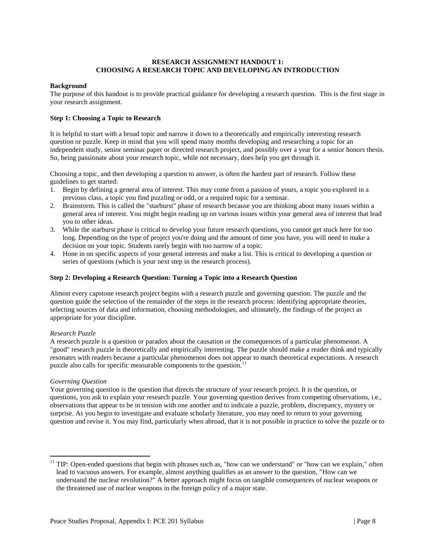#### **RESEARCH ASSIGNMENT HANDOUT 1: CHOOSING A RESEARCH TOPIC AND DEVELOPING AN INTRODUCTION**

#### **Background**

The purpose of this handout is to provide practical guidance for developing a research question. This is the first stage in your research assignment.

#### **Step 1: Choosing a Topic to Research**

It is helpful to start with a broad topic and narrow it down to a theoretically and empirically interesting research question or puzzle. Keep in mind that you will spend many months developing and researching a topic for an independent study, senior seminar paper or directed research project, and possibly over a year for a senior honors thesis. So, being passionate about your research topic, while not necessary, does help you get through it.

Choosing a topic, and then developing a question to answer, is often the hardest part of research. Follow these guidelines to get started:

- 1. Begin by defining a general area of interest. This may come from a passion of yours, a topic you explored in a previous class, a topic you find puzzling or odd, or a required topic for a seminar.
- 2. Brainstorm. This is called the "starburst" phase of research because you are thinking about many issues within a general area of interest. You might begin reading up on various issues within your general area of interest that lead you to other ideas.
- 3. While the starburst phase is critical to develop your future research questions, you cannot get stuck here for too long. Depending on the type of project you're doing and the amount of time you have, you will need to make a decision on your topic. Students rarely begin with too narrow of a topic.
- 4. Hone in on specific aspects of your general interests and make a list. This is critical to developing a question or series of questions (which is your next step in the research process).

#### **Step 2: Developing a Research Question: Turning a Topic into a Research Question**

Almost every capstone research project begins with a research puzzle and governing question. The puzzle and the question guide the selection of the remainder of the steps in the research process: identifying appropriate theories, selecting sources of data and information, choosing methodologies, and ultimately, the findings of the project as appropriate for your discipline.

#### *Research Puzzle*

A research puzzle is a question or paradox about the causation or the consequences of a particular phenomenon. A "good" research puzzle is theoretically and empirically interesting. The puzzle should make a reader think and typically resonates with readers because a particular phenomenon does not appear to match theoretical expectations. A research puzzle also calls for specific measurable components to the question.<sup>11</sup>

#### *Governing Question*

 $\overline{a}$ 

Your governing question is the question that directs the structure of your research project. It is the question, or questions, you ask to explain your research puzzle. Your governing question derives from competing observations, i.e., observations that appear to be in tension with one another and to indicate a puzzle, problem, discrepancy, mystery or surprise. As you begin to investigate and evaluate scholarly literature, you may need to return to your governing question and revise it. You may find, particularly when abroad, that it is not possible in practice to solve the puzzle or to

 $11$  TIP: Open-ended questions that begin with phrases such as, "how can we understand" or "how can we explain," often lead to vacuous answers. For example, almost anything qualifies as an answer to the question, "How can we understand the nuclear revolution?" A better approach might focus on tangible consequences of nuclear weapons or the threatened use of nuclear weapons in the foreign policy of a major state.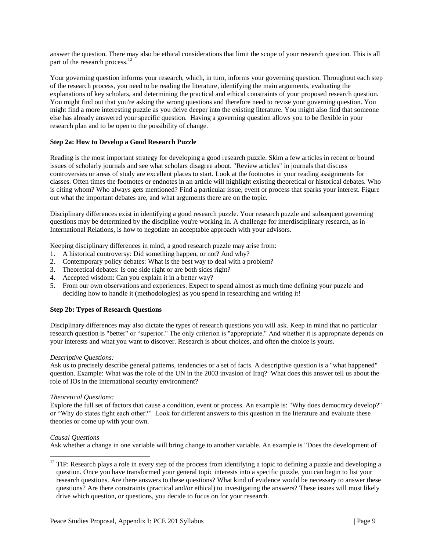answer the question. There may also be ethical considerations that limit the scope of your research question. This is all part of the research process.<sup>12</sup>

Your governing question informs your research, which, in turn, informs your governing question. Throughout each step of the research process, you need to be reading the literature, identifying the main arguments, evaluating the explanations of key scholars, and determining the practical and ethical constraints of your proposed research question. You might find out that you're asking the wrong questions and therefore need to revise your governing question. You might find a more interesting puzzle as you delve deeper into the existing literature. You might also find that someone else has already answered your specific question. Having a governing question allows you to be flexible in your research plan and to be open to the possibility of change.

#### **Step 2a: How to Develop a Good Research Puzzle**

Reading is the most important strategy for developing a good research puzzle. Skim a few articles in recent or bound issues of scholarly journals and see what scholars disagree about. "Review articles" in journals that discuss controversies or areas of study are excellent places to start. Look at the footnotes in your reading assignments for classes. Often times the footnotes or endnotes in an article will highlight existing theoretical or historical debates. Who is citing whom? Who always gets mentioned? Find a particular issue, event or process that sparks your interest. Figure out what the important debates are, and what arguments there are on the topic.

Disciplinary differences exist in identifying a good research puzzle. Your research puzzle and subsequent governing questions may be determined by the discipline you're working in. A challenge for interdisciplinary research, as in International Relations, is how to negotiate an acceptable approach with your advisors.

Keeping disciplinary differences in mind, a good research puzzle may arise from:

- 1. A historical controversy: Did something happen, or not? And why?
- 2. Contemporary policy debates: What is the best way to deal with a problem?
- 3. Theoretical debates: Is one side right or are both sides right?
- 4. Accepted wisdom: Can you explain it in a better way?
- 5. From our own observations and experiences. Expect to spend almost as much time defining your puzzle and deciding how to handle it (methodologies) as you spend in researching and writing it!

#### **Step 2b: Types of Research Questions**

Disciplinary differences may also dictate the types of research questions you will ask. Keep in mind that no particular research question is "better" or "superior." The only criterion is "appropriate." And whether it is appropriate depends on your interests and what you want to discover. Research is about choices, and often the choice is yours.

#### *Descriptive Questions:*

Ask us to precisely describe general patterns, tendencies or a set of facts. A descriptive question is a "what happened" question. Example: What was the role of the UN in the 2003 invasion of Iraq? What does this answer tell us about the role of IOs in the international security environment?

#### *Theoretical Questions:*

Explore the full set of factors that cause a condition, event or process. An example is: "Why does democracy develop?" or "Why do states fight each other?" Look for different answers to this question in the literature and evaluate these theories or come up with your own.

#### *Causal Questions*

 $\overline{a}$ 

Ask whether a change in one variable will bring change to another variable. An example is "Does the development of

 $12$  TIP: Research plays a role in every step of the process from identifying a topic to defining a puzzle and developing a question. Once you have transformed your general topic interests into a specific puzzle, you can begin to list your research questions. Are there answers to these questions? What kind of evidence would be necessary to answer these questions? Are there constraints (practical and/or ethical) to investigating the answers? These issues will most likely drive which question, or questions, you decide to focus on for your research.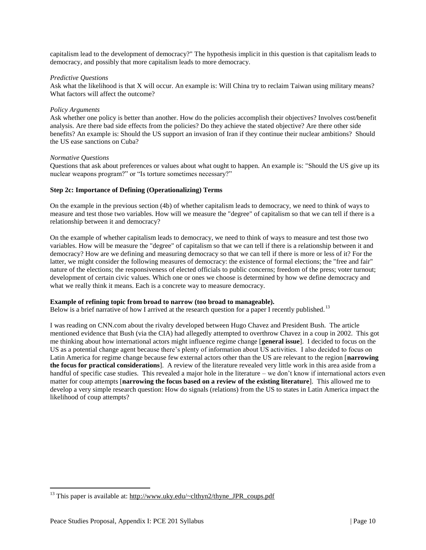capitalism lead to the development of democracy?" The hypothesis implicit in this question is that capitalism leads to democracy, and possibly that more capitalism leads to more democracy.

#### *Predictive Questions*

Ask what the likelihood is that X will occur. An example is: Will China try to reclaim Taiwan using military means? What factors will affect the outcome?

#### *Policy Arguments*

Ask whether one policy is better than another. How do the policies accomplish their objectives? Involves cost/benefit analysis. Are there bad side effects from the policies? Do they achieve the stated objective? Are there other side benefits? An example is: Should the US support an invasion of Iran if they continue their nuclear ambitions? Should the US ease sanctions on Cuba?

#### *Normative Questions*

Questions that ask about preferences or values about what ought to happen. An example is: "Should the US give up its nuclear weapons program?" or "Is torture sometimes necessary?"

#### **Step 2c: Importance of Defining (Operationalizing) Terms**

On the example in the previous section (4b) of whether capitalism leads to democracy, we need to think of ways to measure and test those two variables. How will we measure the "degree" of capitalism so that we can tell if there is a relationship between it and democracy?

On the example of whether capitalism leads to democracy, we need to think of ways to measure and test those two variables. How will be measure the "degree" of capitalism so that we can tell if there is a relationship between it and democracy? How are we defining and measuring democracy so that we can tell if there is more or less of it? For the latter, we might consider the following measures of democracy: the existence of formal elections; the "free and fair" nature of the elections; the responsiveness of elected officials to public concerns; freedom of the press; voter turnout; development of certain civic values. Which one or ones we choose is determined by how we define democracy and what we really think it means. Each is a concrete way to measure democracy.

#### **Example of refining topic from broad to narrow (too broad to manageable).**

Below is a brief narrative of how I arrived at the research question for a paper I recently published.<sup>13</sup>

I was reading on CNN.com about the rivalry developed between Hugo Chavez and President Bush. The article mentioned evidence that Bush (via the CIA) had allegedly attempted to overthrow Chavez in a coup in 2002. This got me thinking about how international actors might influence regime change [**general issue**]. I decided to focus on the US as a potential change agent because there's plenty of information about US activities. I also decided to focus on Latin America for regime change because few external actors other than the US are relevant to the region [**narrowing the focus for practical considerations**]. A review of the literature revealed very little work in this area aside from a handful of specific case studies. This revealed a major hole in the literature – we don't know if international actors even matter for coup attempts [**narrowing the focus based on a review of the existing literature**]. This allowed me to develop a very simple research question: How do signals (relations) from the US to states in Latin America impact the likelihood of coup attempts?

 $\overline{a}$ 

<sup>&</sup>lt;sup>13</sup> This paper is available at:  $\frac{http://www.uky.edu/~clthyn2/thyne$  JPR coups.pdf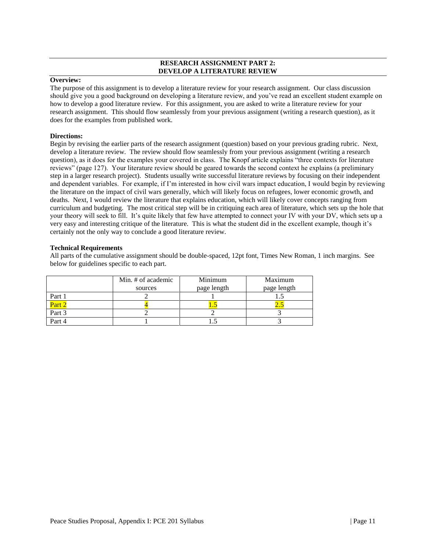#### **RESEARCH ASSIGNMENT PART 2: DEVELOP A LITERATURE REVIEW**

## **Overview:**

The purpose of this assignment is to develop a literature review for your research assignment. Our class discussion should give you a good background on developing a literature review, and you've read an excellent student example on how to develop a good literature review. For this assignment, you are asked to write a literature review for your research assignment. This should flow seamlessly from your previous assignment (writing a research question), as it does for the examples from published work.

#### **Directions:**

Begin by revising the earlier parts of the research assignment (question) based on your previous grading rubric. Next, develop a literature review. The review should flow seamlessly from your previous assignment (writing a research question), as it does for the examples your covered in class. The Knopf article explains "three contexts for literature reviews" (page 127). Your literature review should be geared towards the second context he explains (a preliminary step in a larger research project). Students usually write successful literature reviews by focusing on their independent and dependent variables. For example, if I'm interested in how civil wars impact education, I would begin by reviewing the literature on the impact of civil wars generally, which will likely focus on refugees, lower economic growth, and deaths. Next, I would review the literature that explains education, which will likely cover concepts ranging from curriculum and budgeting. The most critical step will be in critiquing each area of literature, which sets up the hole that your theory will seek to fill. It's quite likely that few have attempted to connect your IV with your DV, which sets up a very easy and interesting critique of the literature. This is what the student did in the excellent example, though it's certainly not the only way to conclude a good literature review.

#### **Technical Requirements**

|        | Min. # of academic | Minimum     | Maximum     |
|--------|--------------------|-------------|-------------|
|        | sources            | page length | page length |
| Part 1 |                    |             |             |
| Part 2 |                    |             |             |
| Part 3 |                    |             |             |
| Part 4 |                    |             |             |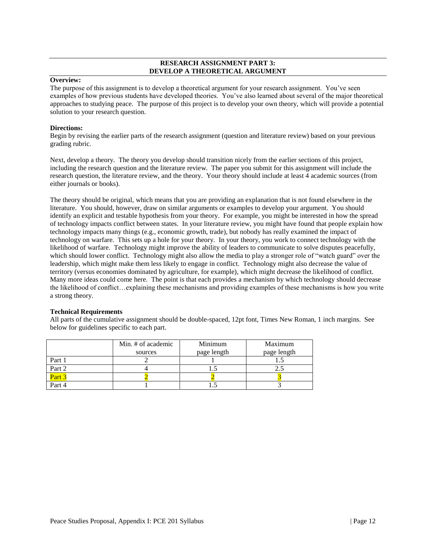#### **RESEARCH ASSIGNMENT PART 3: DEVELOP A THEORETICAL ARGUMENT**

## **Overview:**

The purpose of this assignment is to develop a theoretical argument for your research assignment. You've seen examples of how previous students have developed theories. You've also learned about several of the major theoretical approaches to studying peace. The purpose of this project is to develop your own theory, which will provide a potential solution to your research question.

#### **Directions:**

Begin by revising the earlier parts of the research assignment (question and literature review) based on your previous grading rubric.

Next, develop a theory. The theory you develop should transition nicely from the earlier sections of this project, including the research question and the literature review. The paper you submit for this assignment will include the research question, the literature review, and the theory. Your theory should include at least 4 academic sources (from either journals or books).

The theory should be original, which means that you are providing an explanation that is not found elsewhere in the literature. You should, however, draw on similar arguments or examples to develop your argument. You should identify an explicit and testable hypothesis from your theory. For example, you might be interested in how the spread of technology impacts conflict between states. In your literature review, you might have found that people explain how technology impacts many things (e.g., economic growth, trade), but nobody has really examined the impact of technology on warfare. This sets up a hole for your theory. In your theory, you work to connect technology with the likelihood of warfare. Technology might improve the ability of leaders to communicate to solve disputes peacefully, which should lower conflict. Technology might also allow the media to play a stronger role of "watch guard" over the leadership, which might make them less likely to engage in conflict. Technology might also decrease the value of territory (versus economies dominated by agriculture, for example), which might decrease the likelihood of conflict. Many more ideas could come here. The point is that each provides a mechanism by which technology should decrease the likelihood of conflict…explaining these mechanisms and providing examples of these mechanisms is how you write a strong theory.

#### **Technical Requirements**

|        | Min. # of academic | Minimum     | Maximum     |
|--------|--------------------|-------------|-------------|
|        | sources            | page length | page length |
| Part 1 |                    |             |             |
| Part 2 |                    |             |             |
|        |                    |             |             |
| Part 4 |                    |             |             |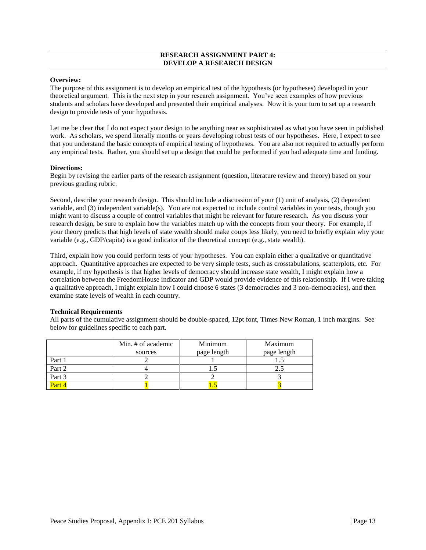#### **RESEARCH ASSIGNMENT PART 4: DEVELOP A RESEARCH DESIGN**

#### **Overview:**

The purpose of this assignment is to develop an empirical test of the hypothesis (or hypotheses) developed in your theoretical argument. This is the next step in your research assignment. You've seen examples of how previous students and scholars have developed and presented their empirical analyses. Now it is your turn to set up a research design to provide tests of your hypothesis.

Let me be clear that I do not expect your design to be anything near as sophisticated as what you have seen in published work. As scholars, we spend literally months or years developing robust tests of our hypotheses. Here, I expect to see that you understand the basic concepts of empirical testing of hypotheses. You are also not required to actually perform any empirical tests. Rather, you should set up a design that could be performed if you had adequate time and funding.

#### **Directions:**

Begin by revising the earlier parts of the research assignment (question, literature review and theory) based on your previous grading rubric.

Second, describe your research design. This should include a discussion of your (1) unit of analysis, (2) dependent variable, and (3) independent variable(s). You are not expected to include control variables in your tests, though you might want to discuss a couple of control variables that might be relevant for future research. As you discuss your research design, be sure to explain how the variables match up with the concepts from your theory. For example, if your theory predicts that high levels of state wealth should make coups less likely, you need to briefly explain why your variable (e.g., GDP/capita) is a good indicator of the theoretical concept (e.g., state wealth).

Third, explain how you could perform tests of your hypotheses. You can explain either a qualitative or quantitative approach. Quantitative approaches are expected to be very simple tests, such as crosstabulations, scatterplots, etc. For example, if my hypothesis is that higher levels of democracy should increase state wealth, I might explain how a correlation between the FreedomHouse indicator and GDP would provide evidence of this relationship. If I were taking a qualitative approach, I might explain how I could choose 6 states (3 democracies and 3 non-democracies), and then examine state levels of wealth in each country.

#### **Technical Requirements**

|        | Min. # of academic | Minimum     | Maximum     |
|--------|--------------------|-------------|-------------|
|        | sources            | page length | page length |
| Part 1 |                    |             |             |
| Part 2 |                    |             |             |
| Part 3 |                    |             |             |
|        |                    |             |             |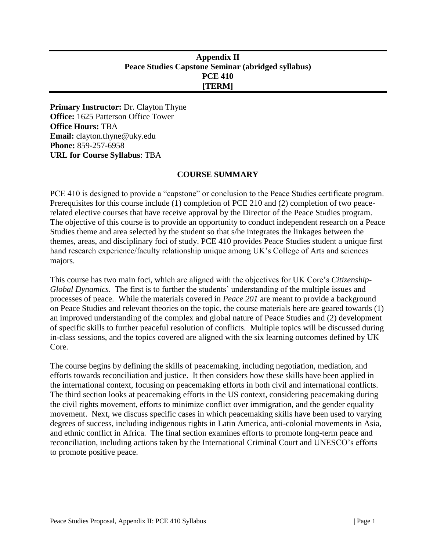# <span id="page-29-0"></span>**Appendix II Peace Studies Capstone Seminar (abridged syllabus) PCE 410 [TERM]**

**Primary Instructor:** Dr. Clayton Thyne **Office:** 1625 Patterson Office Tower **Office Hours:** TBA **Email:** clayton.thyne@uky.edu **Phone:** 859-257-6958 **URL for Course Syllabus**: TBA

## **COURSE SUMMARY**

PCE 410 is designed to provide a "capstone" or conclusion to the Peace Studies certificate program. Prerequisites for this course include (1) completion of PCE 210 and (2) completion of two peacerelated elective courses that have receive approval by the Director of the Peace Studies program. The objective of this course is to provide an opportunity to conduct independent research on a Peace Studies theme and area selected by the student so that s/he integrates the linkages between the themes, areas, and disciplinary foci of study. PCE 410 provides Peace Studies student a unique first hand research experience/faculty relationship unique among UK's College of Arts and sciences majors.

This course has two main foci, which are aligned with the objectives for UK Core's *Citizenship-Global Dynamics*. The first is to further the students' understanding of the multiple issues and processes of peace. While the materials covered in *Peace 201* are meant to provide a background on Peace Studies and relevant theories on the topic, the course materials here are geared towards (1) an improved understanding of the complex and global nature of Peace Studies and (2) development of specific skills to further peaceful resolution of conflicts. Multiple topics will be discussed during in-class sessions, and the topics covered are aligned with the six learning outcomes defined by UK Core.

The course begins by defining the skills of peacemaking, including negotiation, mediation, and efforts towards reconciliation and justice. It then considers how these skills have been applied in the international context, focusing on peacemaking efforts in both civil and international conflicts. The third section looks at peacemaking efforts in the US context, considering peacemaking during the civil rights movement, efforts to minimize conflict over immigration, and the gender equality movement. Next, we discuss specific cases in which peacemaking skills have been used to varying degrees of success, including indigenous rights in Latin America, anti-colonial movements in Asia, and ethnic conflict in Africa. The final section examines efforts to promote long-term peace and reconciliation, including actions taken by the International Criminal Court and UNESCO's efforts to promote positive peace.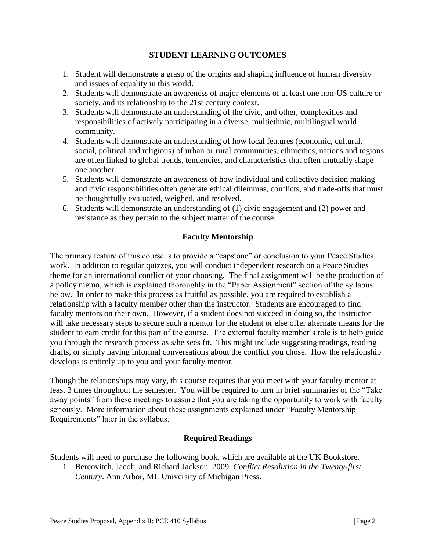# **STUDENT LEARNING OUTCOMES**

- 1. Student will demonstrate a grasp of the origins and shaping influence of human diversity and issues of equality in this world.
- 2. Students will demonstrate an awareness of major elements of at least one non-US culture or society, and its relationship to the 21st century context.
- 3. Students will demonstrate an understanding of the civic, and other, complexities and responsibilities of actively participating in a diverse, multiethnic, multilingual world community.
- 4. Students will demonstrate an understanding of how local features (economic, cultural, social, political and religious) of urban or rural communities, ethnicities, nations and regions are often linked to global trends, tendencies, and characteristics that often mutually shape one another.
- 5. Students will demonstrate an awareness of how individual and collective decision making and civic responsibilities often generate ethical dilemmas, conflicts, and trade-offs that must be thoughtfully evaluated, weighed, and resolved.
- 6. Students will demonstrate an understanding of (1) civic engagement and (2) power and resistance as they pertain to the subject matter of the course.

# **Faculty Mentorship**

The primary feature of this course is to provide a "capstone" or conclusion to your Peace Studies work. In addition to regular quizzes, you will conduct independent research on a Peace Studies theme for an international conflict of your choosing. The final assignment will be the production of a policy memo, which is explained thoroughly in the "Paper Assignment" section of the syllabus below. In order to make this process as fruitful as possible, you are required to establish a relationship with a faculty member other than the instructor. Students are encouraged to find faculty mentors on their own. However, if a student does not succeed in doing so, the instructor will take necessary steps to secure such a mentor for the student or else offer alternate means for the student to earn credit for this part of the course. The external faculty member's role is to help guide you through the research process as s/he sees fit. This might include suggesting readings, reading drafts, or simply having informal conversations about the conflict you chose. How the relationship develops is entirely up to you and your faculty mentor.

Though the relationships may vary, this course requires that you meet with your faculty mentor at least 3 times throughout the semester. You will be required to turn in brief summaries of the "Take away points" from these meetings to assure that you are taking the opportunity to work with faculty seriously. More information about these assignments explained under "Faculty Mentorship Requirements" later in the syllabus.

# **Required Readings**

Students will need to purchase the following book, which are available at the UK Bookstore.

1. Bercovitch, Jacob, and Richard Jackson. 2009. *Conflict Resolution in the Twenty-first Century*. Ann Arbor, MI: University of Michigan Press.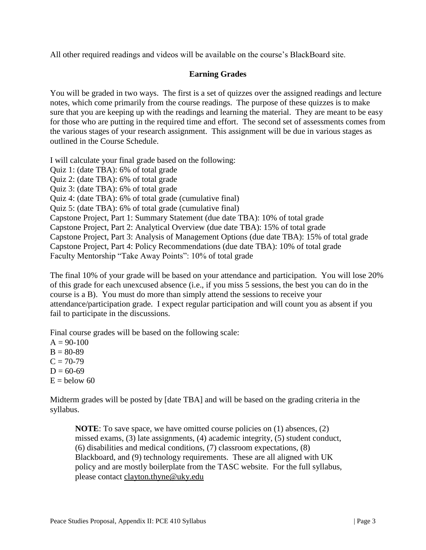All other required readings and videos will be available on the course's BlackBoard site.

# **Earning Grades**

You will be graded in two ways. The first is a set of quizzes over the assigned readings and lecture notes, which come primarily from the course readings. The purpose of these quizzes is to make sure that you are keeping up with the readings and learning the material. They are meant to be easy for those who are putting in the required time and effort. The second set of assessments comes from the various stages of your research assignment. This assignment will be due in various stages as outlined in the Course Schedule.

I will calculate your final grade based on the following: Quiz 1: (date TBA): 6% of total grade Quiz 2: (date TBA): 6% of total grade Quiz 3: (date TBA): 6% of total grade Quiz 4: (date TBA): 6% of total grade (cumulative final) Quiz 5: (date TBA): 6% of total grade (cumulative final) Capstone Project, Part 1: Summary Statement (due date TBA): 10% of total grade Capstone Project, Part 2: Analytical Overview (due date TBA): 15% of total grade Capstone Project, Part 3: Analysis of Management Options (due date TBA): 15% of total grade Capstone Project, Part 4: Policy Recommendations (due date TBA): 10% of total grade Faculty Mentorship "Take Away Points": 10% of total grade

The final 10% of your grade will be based on your attendance and participation. You will lose 20% of this grade for each unexcused absence (i.e., if you miss 5 sessions, the best you can do in the course is a B). You must do more than simply attend the sessions to receive your attendance/participation grade. I expect regular participation and will count you as absent if you fail to participate in the discussions.

Final course grades will be based on the following scale:

 $A = 90-100$  $B = 80-89$  $C = 70-79$  $D = 60-69$  $E =$  below 60

Midterm grades will be posted by [date TBA] and will be based on the grading criteria in the syllabus.

**NOTE**: To save space, we have omitted course policies on (1) absences, (2) missed exams, (3) late assignments, (4) academic integrity, (5) student conduct, (6) disabilities and medical conditions, (7) classroom expectations, (8) Blackboard, and (9) technology requirements. These are all aligned with UK policy and are mostly boilerplate from the TASC website. For the full syllabus, please contact [clayton.thyne@uky.edu](mailto:clayton.thyne@uky.edu)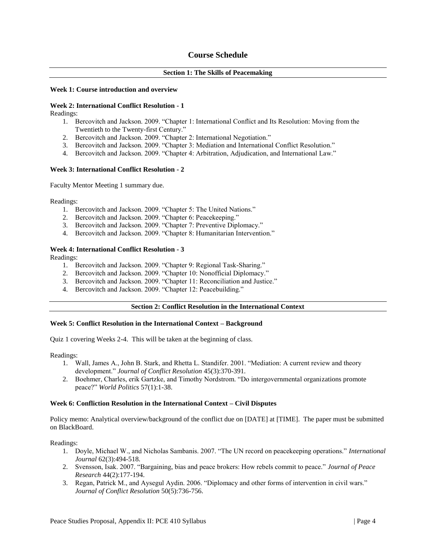## **Course Schedule**

#### **Section 1: The Skills of Peacemaking**

#### **Week 1: Course introduction and overview**

#### **Week 2: International Conflict Resolution - 1**

Readings:

- 1. Bercovitch and Jackson. 2009. "Chapter 1: International Conflict and Its Resolution: Moving from the Twentieth to the Twenty-first Century."
- 2. Bercovitch and Jackson. 2009. "Chapter 2: International Negotiation."
- 3. Bercovitch and Jackson. 2009. "Chapter 3: Mediation and International Conflict Resolution."
- 4. Bercovitch and Jackson. 2009. "Chapter 4: Arbitration, Adjudication, and International Law."

#### **Week 3: International Conflict Resolution - 2**

Faculty Mentor Meeting 1 summary due.

Readings:

- 1. Bercovitch and Jackson. 2009. "Chapter 5: The United Nations."
- 2. Bercovitch and Jackson. 2009. "Chapter 6: Peacekeeping."
- 3. Bercovitch and Jackson. 2009. "Chapter 7: Preventive Diplomacy."
- 4. Bercovitch and Jackson. 2009. "Chapter 8: Humanitarian Intervention."

#### **Week 4: International Conflict Resolution - 3**

Readings:

- 1. Bercovitch and Jackson. 2009. "Chapter 9: Regional Task-Sharing."
- 2. Bercovitch and Jackson. 2009. "Chapter 10: Nonofficial Diplomacy."
- 3. Bercovitch and Jackson. 2009. "Chapter 11: Reconciliation and Justice."
- 4. Bercovitch and Jackson. 2009. "Chapter 12: Peacebuilding."

#### **Section 2: Conflict Resolution in the International Context**

#### **Week 5: Conflict Resolution in the International Context – Background**

Quiz 1 covering Weeks 2-4. This will be taken at the beginning of class.

Readings:

- 1. Wall, James A., John B. Stark, and Rhetta L. Standifer. 2001. "Mediation: A current review and theory development." *Journal of Conflict Resolution* 45(3):370-391.
- 2. Boehmer, Charles, erik Gartzke, and Timothy Nordstrom. "Do intergovernmental organizations promote peace?" *World Politics* 57(1):1-38.

#### **Week 6: Confliction Resolution in the International Context – Civil Disputes**

Policy memo: Analytical overview/background of the conflict due on [DATE] at [TIME]. The paper must be submitted on BlackBoard.

Readings:

- 1. Doyle, Michael W., and Nicholas Sambanis. 2007. "The UN record on peacekeeping operations." *International Journal* 62(3):494-518.
- 2. Svensson, Isak. 2007. "Bargaining, bias and peace brokers: How rebels commit to peace." *Journal of Peace Research* 44(2):177-194.
- 3. Regan, Patrick M., and Aysegul Aydin. 2006. "Diplomacy and other forms of intervention in civil wars." *Journal of Conflict Resolution* 50(5):736-756.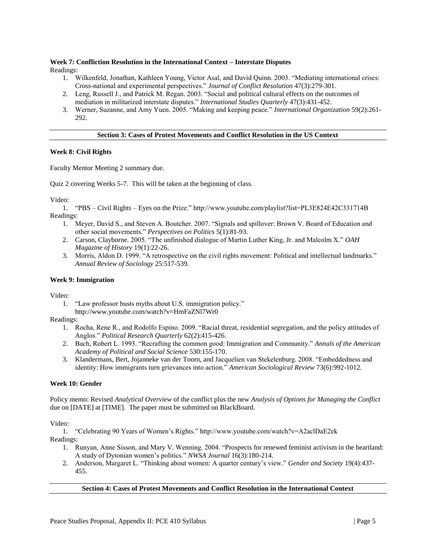#### **Week 7: Confliction Resolution in the International Context – Interstate Disputes**

Readings:

- 1. Wilkenfeld, Jonathan, Kathleen Young, Victor Asal, and David Quinn. 2003. "Mediating international crises: Cross-national and experimental perspectives." *Journal of Conflict Resolution* 47(3):279-301.
- 2. Leng, Russell J., and Patrick M. Regan. 2003. "Social and political cultural effects on the outcomes of mediation in militarized interstate disputes." *International Studies Quarterly* 47(3):431-452.
- 3. Werner, Suzanne, and Amy Yuen. 2005. "Making and keeping peace." *International Organization* 59(2):261- 292.

#### **Section 3: Cases of Protest Movements and Conflict Resolution in the US Context**

#### **Week 8: Civil Rights**

Faculty Mentor Meeting 2 summary due.

Quiz 2 covering Weeks 5-7. This will be taken at the beginning of class.

Video:

1. "PBS – Civil Rights – Eyes on the Prize." http://www.youtube.com/playlist?list=PL3E824E42C331714B Readings:

- 1. Meyer, David S., and Steven A. Boutcher. 2007. "Signals and spillover: Brown V. Board of Education and other social movements." *Perspectives on Politics* 5(1):81-93.
- 2. Carson, Clayborne. 2005. "The unfinished dialogue of Martin Luther King, Jr. and Malcolm X." *OAH Magazine of History* 19(1):22-26.
- 3. Morris, Aldon D. 1999. "A retrospective on the civil rights movement: Political and intellectual landmarks." *Annual Review of Sociology* 25:517-539.

#### **Week 9: Immigration**

Video:

- 1. "Law professor busts myths about U.S. immigration policy."
- http://www.youtube.com/watch?v=HmFaZNl7Wr0

Readings:

- 1. Rocha, Rene R., and Rodolfo Espino. 2009. "Racial threat, residential segregation, and the policy attitudes of Anglos." *Political Research Quarterly* 62(2):415-426.
- 2. Bach, Robert L. 1993. "Recrafting the common good: Immigration and Community." *Annals of the American Academy of Political and Social Science* 530:155-170.
- 3. Klandermans, Bert, Jojanneke van der Toorn, and Jacquelien van Stekelenburg. 2008. "Embeddedness and identity: How immigrants turn grievances into action." *American Sociological Review* 73(6):992-1012.

#### **Week 10: Gender**

Policy memo: Revised *Analytical Overview* of the conflict plus the new *Analysis of Options for Managing the Conflict* due on [DATE] at [TIME]. The paper must be submitted on BlackBoard.

Video:

1. "Celebrating 90 Years of Women's Rights." http://www.youtube.com/watch?v=A2aclDaE2ek

Readings:

- 1. Runyan, Anne Sisson, and Mary V. Wenning. 2004. "Prospects for renewed feminist activism in the heartland: A study of Dytonian women's politics." *NWSA Journal* 16(3):180-214.
- 2. Anderson, Margaret L. "Thinking about women: A quarter century's view." *Gender and Society* 19(4):437- 455.

```
Section 4: Cases of Protest Movements and Conflict Resolution in the International Context
```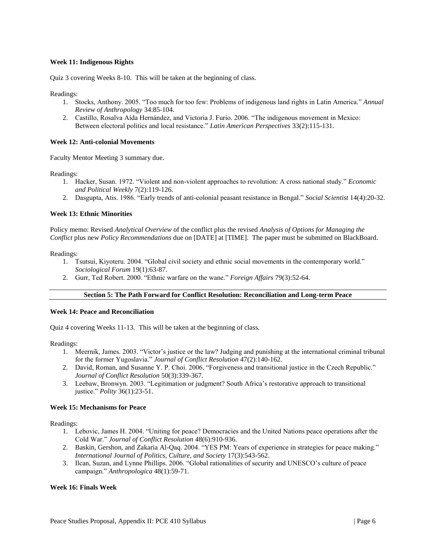#### **Week 11: Indigenous Rights**

Quiz 3 covering Weeks 8-10. This will be taken at the beginning of class.

Readings:

- 1. Stocks, Anthony. 2005. "Too much for too few: Problems of indigenous land rights in Latin America." *Annual Review of Anthropology* 34:85-104.
- 2. Castillo, Rosalva Aída Hernández, and Victoria J. Furio. 2006. "The indigenous movement in Mexico: Between electoral politics and local resistance." *Latin American Perspectives* 33(2):115-131.

#### **Week 12: Anti-colonial Movements**

Faculty Mentor Meeting 3 summary due.

Readings:

- 1. Hacker, Susan. 1972. "Violent and non-violent approaches to revolution: A cross national study." *Economic and Political Weekly* 7(2):119-126.
- 2. Dasgupta, Atis. 1986. "Early trends of anti-colonial peasant resistance in Bengal." *Social Scientist* 14(4):20-32.

#### **Week 13: Ethnic Minorities**

Policy memo: Revised *Analytical Overview* of the conflict plus the revised *Analysis of Options for Managing the Conflict* plus new *Policy Recommendations* due on [DATE] at [TIME]. The paper must be submitted on BlackBoard.

Readings:

- 1. Tsutsui, Kiyoteru. 2004. "Global civil society and ethnic social movements in the contemporary world." *Sociological Forum* 19(1):63-87.
- 2. Gurr, Ted Robert. 2000. "Ethnic warfare on the wane." *Foreign Affairs* 79(3):52-64.

#### **Section 5: The Path Forward for Conflict Resolution: Reconciliation and Long-term Peace**

#### **Week 14: Peace and Reconciliation**

Quiz 4 covering Weeks 11-13. This will be taken at the beginning of class.

Readings:

- 1. Meernik, James. 2003. "Victor's justice or the law? Judging and punishing at the international criminal tribunal for the former Yugoslavia." *Journal of Conflict Resolution* 47(2):140-162.
- 2. David, Roman, and Susanne Y. P. Choi. 2006. "Forgiveness and transitional justice in the Czech Republic." *Journal of Conflict Resolution* 50(3):339-367.
- 3. Leebaw, Bronwyn. 2003. "Legitimation or judgment? South Africa's restorative approach to transitional justice." *Polity* 36(1):23-51.

#### **Week 15: Mechanisms for Peace**

Readings:

- 1. Lebovic, James H. 2004. "Uniting for peace? Democracies and the United Nations peace operations after the Cold War." *Journal of Conflict Resolution* 48(6):910-936.
- 2. Baskin, Gershon, and Zakaria Al-Qaq. 2004. "YES PM: Years of experience in strategies for peace making." *International Journal of Politics, Culture, and Society* 17(3):543-562.
- 3. Ilcan, Suzan, and Lynne Phillips. 2006. "Global rationalities of security and UNESCO's culture of peace campaign." *Anthropologica* 48(1):59-71.

#### **Week 16: Finals Week**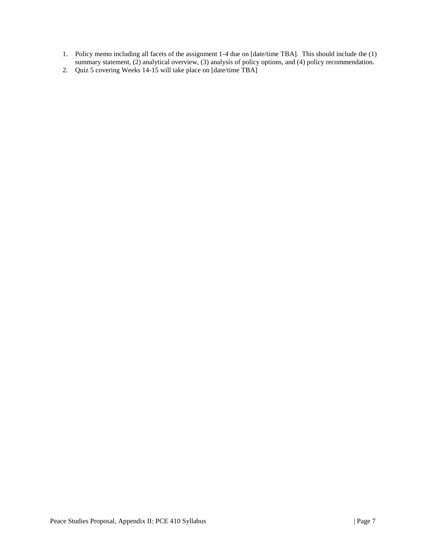- 1. Policy memo including all facets of the assignment 1-4 due on [date/time TBA]. This should include the (1) summary statement, (2) analytical overview, (3) analysis of policy options, and (4) policy recommendation.
- 2. Quiz 5 covering Weeks 14-15 will take place on [date/time TBA]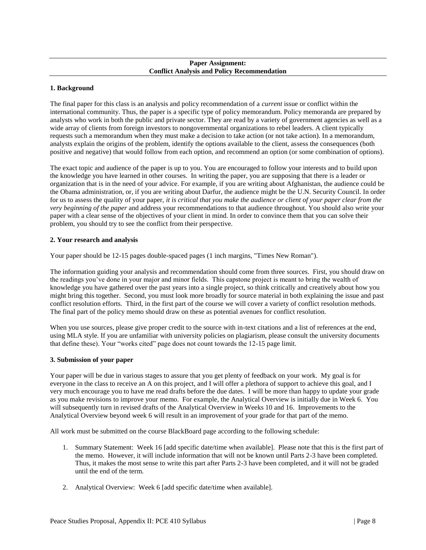#### **Paper Assignment: Conflict Analysis and Policy Recommendation**

#### **1. Background**

The final paper for this class is an analysis and policy recommendation of a *current* issue or conflict within the international community. Thus, the paper is a specific type of policy memorandum. Policy memoranda are prepared by analysts who work in both the public and private sector. They are read by a variety of government agencies as well as a wide array of clients from foreign investors to nongovernmental organizations to rebel leaders. A client typically requests such a memorandum when they must make a decision to take action (or not take action). In a memorandum, analysts explain the origins of the problem, identify the options available to the client, assess the consequences (both positive and negative) that would follow from each option, and recommend an option (or some combination of options).

The exact topic and audience of the paper is up to you. You are encouraged to follow your interests and to build upon the knowledge you have learned in other courses. In writing the paper, you are supposing that there is a leader or organization that is in the need of your advice. For example, if you are writing about Afghanistan, the audience could be the Obama administration, or, if you are writing about Darfur, the audience might be the U.N. Security Council. In order for us to assess the quality of your paper, *it is critical that you make the audience or client of your paper clear from the very beginning of the paper* and address your recommendations to that audience throughout. You should also write your paper with a clear sense of the objectives of your client in mind. In order to convince them that you can solve their problem, you should try to see the conflict from their perspective.

#### **2. Your research and analysis**

Your paper should be 12-15 pages double-spaced pages (1 inch margins, "Times New Roman").

The information guiding your analysis and recommendation should come from three sources. First, you should draw on the readings you've done in your major and minor fields. This capstone project is meant to bring the wealth of knowledge you have gathered over the past years into a single project, so think critically and creatively about how you might bring this together. Second, you must look more broadly for source material in both explaining the issue and past conflict resolution efforts. Third, in the first part of the course we will cover a variety of conflict resolution methods. The final part of the policy memo should draw on these as potential avenues for conflict resolution.

When you use sources, please give proper credit to the source with in-text citations and a list of references at the end, using MLA style. If you are unfamiliar with university policies on plagiarism, please consult the university documents that define these). Your "works cited" page does not count towards the 12-15 page limit.

#### **3. Submission of your paper**

Your paper will be due in various stages to assure that you get plenty of feedback on your work. My goal is for everyone in the class to receive an A on this project, and I will offer a plethora of support to achieve this goal, and I very much encourage you to have me read drafts before the due dates. I will be more than happy to update your grade as you make revisions to improve your memo. For example, the Analytical Overview is initially due in Week 6. You will subsequently turn in revised drafts of the Analytical Overview in Weeks 10 and 16. Improvements to the Analytical Overview beyond week 6 will result in an improvement of your grade for that part of the memo.

All work must be submitted on the course BlackBoard page according to the following schedule:

- 1. Summary Statement: Week 16 [add specific date/time when available]. Please note that this is the first part of the memo. However, it will include information that will not be known until Parts 2-3 have been completed. Thus, it makes the most sense to write this part after Parts 2-3 have been completed, and it will not be graded until the end of the term.
- 2. Analytical Overview: Week 6 [add specific date/time when available].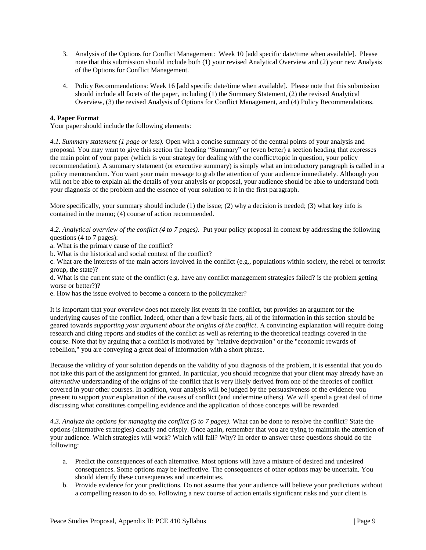- 3. Analysis of the Options for Conflict Management: Week 10 [add specific date/time when available]. Please note that this submission should include both (1) your revised Analytical Overview and (2) your new Analysis of the Options for Conflict Management.
- 4. Policy Recommendations: Week 16 [add specific date/time when available]. Please note that this submission should include all facets of the paper, including (1) the Summary Statement, (2) the revised Analytical Overview, (3) the revised Analysis of Options for Conflict Management, and (4) Policy Recommendations.

#### **4. Paper Format**

Your paper should include the following elements:

*4.1. Summary statement (1 page or less).* Open with a concise summary of the central points of your analysis and proposal. You may want to give this section the heading "Summary" or (even better) a section heading that expresses the main point of your paper (which is your strategy for dealing with the conflict/topic in question, your policy recommendation). A summary statement (or executive summary) is simply what an introductory paragraph is called in a policy memorandum. You want your main message to grab the attention of your audience immediately. Although you will not be able to explain all the details of your analysis or proposal, your audience should be able to understand both your diagnosis of the problem and the essence of your solution to it in the first paragraph.

More specifically, your summary should include  $(1)$  the issue;  $(2)$  why a decision is needed;  $(3)$  what key info is contained in the memo; (4) course of action recommended.

*4.2. Analytical overview of the conflict (4 to 7 pages).* Put your policy proposal in context by addressing the following questions (4 to 7 pages):

- a. What is the primary cause of the conflict?
- b. What is the historical and social context of the conflict?

c. What are the interests of the main actors involved in the conflict (e.g., populations within society, the rebel or terrorist group, the state)?

d. What is the current state of the conflict (e.g. have any conflict management strategies failed? is the problem getting worse or better?)?

e. How has the issue evolved to become a concern to the policymaker?

It is important that your overview does not merely list events in the conflict, but provides an argument for the underlying causes of the conflict. Indeed, other than a few basic facts, all of the information in this section should be geared towards *supporting your argument about the origins of the conflict*. A convincing explanation will require doing research and citing reports and studies of the conflict as well as referring to the theoretical readings covered in the course. Note that by arguing that a conflict is motivated by "relative deprivation" or the "economic rewards of rebellion," you are conveying a great deal of information with a short phrase.

Because the validity of your solution depends on the validity of you diagnosis of the problem, it is essential that you do not take this part of the assignment for granted. In particular, you should recognize that your client may already have an *alternative* understanding of the origins of the conflict that is very likely derived from one of the theories of conflict covered in your other courses. In addition, your analysis will be judged by the persuasiveness of the evidence you present to support *your* explanation of the causes of conflict (and undermine others). We will spend a great deal of time discussing what constitutes compelling evidence and the application of those concepts will be rewarded.

*4.3. Analyze the options for managing the conflict (5 to 7 pages).* What can be done to resolve the conflict? State the options (alternative strategies) clearly and crisply. Once again, remember that you are trying to maintain the attention of your audience. Which strategies will work? Which will fail? Why? In order to answer these questions should do the following:

- a. Predict the consequences of each alternative. Most options will have a mixture of desired and undesired consequences. Some options may be ineffective. The consequences of other options may be uncertain. You should identify these consequences and uncertainties.
- b. Provide evidence for your predictions. Do not assume that your audience will believe your predictions without a compelling reason to do so. Following a new course of action entails significant risks and your client is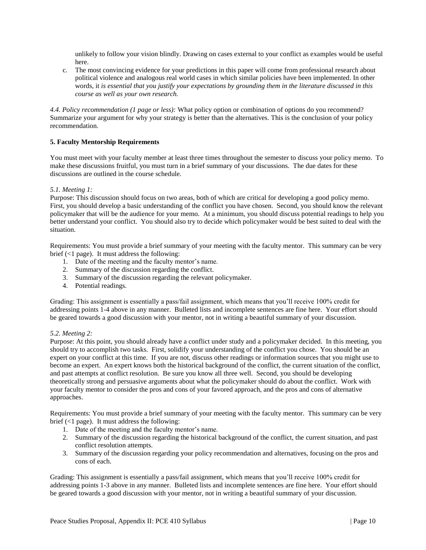unlikely to follow your vision blindly. Drawing on cases external to your conflict as examples would be useful here.

c. The most convincing evidence for your predictions in this paper will come from professional research about political violence and analogous real world cases in which similar policies have been implemented. In other words, it *is essential that you justify your expectations by grounding them in the literature discussed in this course as well as your own research.* 

*4.4. Policy recommendation (1 page or less):* What policy option or combination of options do you recommend? Summarize your argument for why your strategy is better than the alternatives. This is the conclusion of your policy recommendation.

#### **5. Faculty Mentorship Requirements**

You must meet with your faculty member at least three times throughout the semester to discuss your policy memo. To make these discussions fruitful, you must turn in a brief summary of your discussions. The due dates for these discussions are outlined in the course schedule.

#### *5.1. Meeting 1:*

Purpose: This discussion should focus on two areas, both of which are critical for developing a good policy memo. First, you should develop a basic understanding of the conflict you have chosen. Second, you should know the relevant policymaker that will be the audience for your memo. At a minimum, you should discuss potential readings to help you better understand your conflict. You should also try to decide which policymaker would be best suited to deal with the situation.

Requirements: You must provide a brief summary of your meeting with the faculty mentor. This summary can be very brief (<1 page). It must address the following:

- 1. Date of the meeting and the faculty mentor's name.
- 2. Summary of the discussion regarding the conflict.
- 3. Summary of the discussion regarding the relevant policymaker.
- 4. Potential readings.

Grading: This assignment is essentially a pass/fail assignment, which means that you'll receive 100% credit for addressing points 1-4 above in any manner. Bulleted lists and incomplete sentences are fine here. Your effort should be geared towards a good discussion with your mentor, not in writing a beautiful summary of your discussion.

#### *5.2. Meeting 2:*

Purpose: At this point, you should already have a conflict under study and a policymaker decided. In this meeting, you should try to accomplish two tasks. First, solidify your understanding of the conflict you chose. You should be an expert on your conflict at this time. If you are not, discuss other readings or information sources that you might use to become an expert. An expert knows both the historical background of the conflict, the current situation of the conflict, and past attempts at conflict resolution. Be sure you know all three well. Second, you should be developing theoretically strong and persuasive arguments about what the policymaker should do about the conflict. Work with your faculty mentor to consider the pros and cons of your favored approach, and the pros and cons of alternative approaches.

Requirements: You must provide a brief summary of your meeting with the faculty mentor. This summary can be very brief  $\left($  <1 page). It must address the following:

- 1. Date of the meeting and the faculty mentor's name.
- 2. Summary of the discussion regarding the historical background of the conflict, the current situation, and past conflict resolution attempts.
- 3. Summary of the discussion regarding your policy recommendation and alternatives, focusing on the pros and cons of each.

Grading: This assignment is essentially a pass/fail assignment, which means that you'll receive 100% credit for addressing points 1-3 above in any manner. Bulleted lists and incomplete sentences are fine here. Your effort should be geared towards a good discussion with your mentor, not in writing a beautiful summary of your discussion.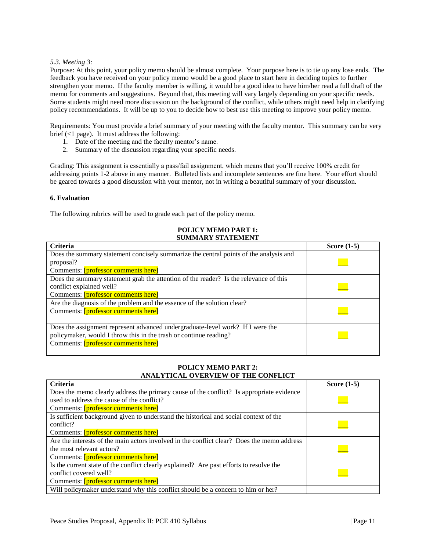#### *5.3. Meeting 3:*

Purpose: At this point, your policy memo should be almost complete. Your purpose here is to tie up any lose ends. The feedback you have received on your policy memo would be a good place to start here in deciding topics to further strengthen your memo. If the faculty member is willing, it would be a good idea to have him/her read a full draft of the memo for comments and suggestions. Beyond that, this meeting will vary largely depending on your specific needs. Some students might need more discussion on the background of the conflict, while others might need help in clarifying policy recommendations. It will be up to you to decide how to best use this meeting to improve your policy memo.

Requirements: You must provide a brief summary of your meeting with the faculty mentor. This summary can be very brief (<1 page). It must address the following:

- 1. Date of the meeting and the faculty mentor's name.
- 2. Summary of the discussion regarding your specific needs.

Grading: This assignment is essentially a pass/fail assignment, which means that you'll receive 100% credit for addressing points 1-2 above in any manner. Bulleted lists and incomplete sentences are fine here. Your effort should be geared towards a good discussion with your mentor, not in writing a beautiful summary of your discussion.

#### **6. Evaluation**

The following rubrics will be used to grade each part of the policy memo.

#### **POLICY MEMO PART 1: SUMMARY STATEMENT**

| <b>Criteria</b>                                                                                                                                                                            | Score $(1-5)$ |
|--------------------------------------------------------------------------------------------------------------------------------------------------------------------------------------------|---------------|
| Does the summary statement concisely summarize the central points of the analysis and<br>proposal?                                                                                         |               |
| Comments: [professor comments here]                                                                                                                                                        |               |
| Does the summary statement grab the attention of the reader? Is the relevance of this<br>conflict explained well?<br>Comments: [professor comments here]                                   |               |
| Are the diagnosis of the problem and the essence of the solution clear?<br>Comments: [professor comments here]                                                                             |               |
| Does the assignment represent advanced undergraduate-level work? If I were the<br>policymaker, would I throw this in the trash or continue reading?<br>Comments: [professor comments here] |               |

#### **POLICY MEMO PART 2: ANALYTICAL OVERVIEW OF THE CONFLICT**

| <b>Criteria</b>                                                                            | Score $(1-5)$ |
|--------------------------------------------------------------------------------------------|---------------|
| Does the memo clearly address the primary cause of the conflict? Is appropriate evidence   |               |
| used to address the cause of the conflict?                                                 |               |
| Comments: [professor comments here]                                                        |               |
| Is sufficient background given to understand the historical and social context of the      |               |
| conflict?                                                                                  |               |
| Comments: [professor comments here]                                                        |               |
| Are the interests of the main actors involved in the conflict clear? Does the memo address |               |
| the most relevant actors?                                                                  |               |
| Comments: [professor comments here]                                                        |               |
| Is the current state of the conflict clearly explained? Are past efforts to resolve the    |               |
| conflict covered well?                                                                     |               |
| Comments: [professor comments here]                                                        |               |
| Will policymaker understand why this conflict should be a concern to him or her?           |               |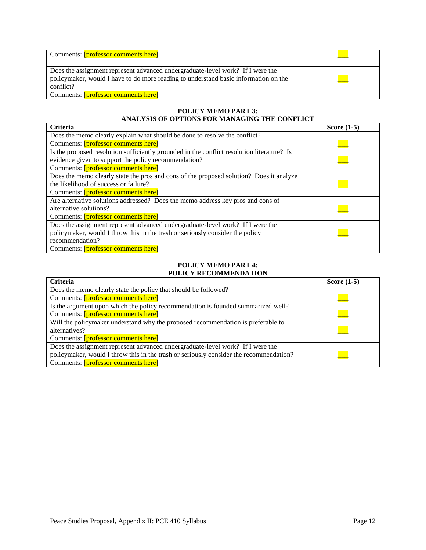| Comments: [professor comments here]                                                                                                                                                                                       |  |
|---------------------------------------------------------------------------------------------------------------------------------------------------------------------------------------------------------------------------|--|
| Does the assignment represent advanced undergraduate-level work? If I were the<br>policymaker, would I have to do more reading to understand basic information on the<br>conflict?<br>Comments: [professor comments here] |  |

#### **POLICY MEMO PART 3: ANALYSIS OF OPTIONS FOR MANAGING THE CONFLICT**

| <b>Criteria</b>                                                                            | Score $(1-5)$ |
|--------------------------------------------------------------------------------------------|---------------|
| Does the memo clearly explain what should be done to resolve the conflict?                 |               |
| Comments: [professor comments here]                                                        |               |
| Is the proposed resolution sufficiently grounded in the conflict resolution literature? Is |               |
| evidence given to support the policy recommendation?                                       |               |
| Comments: [professor comments here]                                                        |               |
| Does the memo clearly state the pros and cons of the proposed solution? Does it analyze    |               |
| the likelihood of success or failure?                                                      |               |
| Comments: [professor comments here]                                                        |               |
| Are alternative solutions addressed? Does the memo address key pros and cons of            |               |
| alternative solutions?                                                                     |               |
| Comments: [professor comments here]                                                        |               |
| Does the assignment represent advanced undergraduate-level work? If I were the             |               |
| policymaker, would I throw this in the trash or seriously consider the policy              |               |
| recommendation?                                                                            |               |
| Comments: [professor comments here]                                                        |               |

#### **POLICY MEMO PART 4: POLICY RECOMMENDATION**

| <b>Criteria</b>                                                                        | Score $(1-5)$ |
|----------------------------------------------------------------------------------------|---------------|
| Does the memo clearly state the policy that should be followed?                        |               |
| Comments: [professor comments here]                                                    |               |
| Is the argument upon which the policy recommendation is founded summarized well?       |               |
| Comments: [professor comments here]                                                    |               |
| Will the policymaker understand why the proposed recommendation is preferable to       |               |
| alternatives?                                                                          |               |
| Comments: [professor comments here]                                                    |               |
| Does the assignment represent advanced undergraduate-level work? If I were the         |               |
| policymaker, would I throw this in the trash or seriously consider the recommendation? |               |
| Comments: [professor comments here]                                                    |               |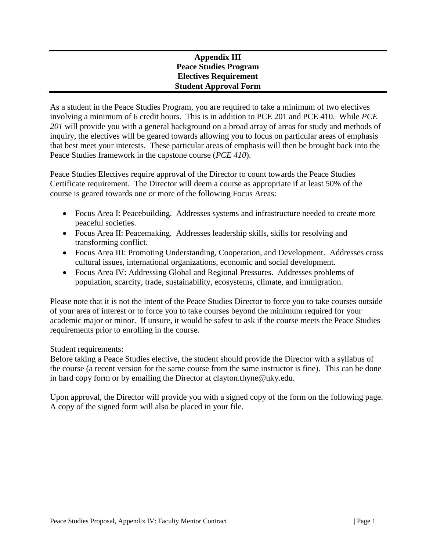# <span id="page-41-0"></span>**Appendix III Peace Studies Program Electives Requirement Student Approval Form**

As a student in the Peace Studies Program, you are required to take a minimum of two electives involving a minimum of 6 credit hours. This is in addition to PCE 201 and PCE 410. While *PCE 201* will provide you with a general background on a broad array of areas for study and methods of inquiry, the electives will be geared towards allowing you to focus on particular areas of emphasis that best meet your interests. These particular areas of emphasis will then be brought back into the Peace Studies framework in the capstone course (*PCE 410*).

Peace Studies Electives require approval of the Director to count towards the Peace Studies Certificate requirement. The Director will deem a course as appropriate if at least 50% of the course is geared towards one or more of the following Focus Areas:

- Focus Area I: Peacebuilding. Addresses systems and infrastructure needed to create more peaceful societies.
- Focus Area II: Peacemaking. Addresses leadership skills, skills for resolving and transforming conflict.
- Focus Area III: Promoting Understanding, Cooperation, and Development. Addresses cross cultural issues, international organizations, economic and social development.
- Focus Area IV: Addressing Global and Regional Pressures. Addresses problems of population, scarcity, trade, sustainability, ecosystems, climate, and immigration.

Please note that it is not the intent of the Peace Studies Director to force you to take courses outside of your area of interest or to force you to take courses beyond the minimum required for your academic major or minor. If unsure, it would be safest to ask if the course meets the Peace Studies requirements prior to enrolling in the course.

Student requirements:

Before taking a Peace Studies elective, the student should provide the Director with a syllabus of the course (a recent version for the same course from the same instructor is fine). This can be done in hard copy form or by emailing the Director at [clayton.thyne@uky.edu.](mailto:clayton.thyne@uky.edu)

Upon approval, the Director will provide you with a signed copy of the form on the following page. A copy of the signed form will also be placed in your file.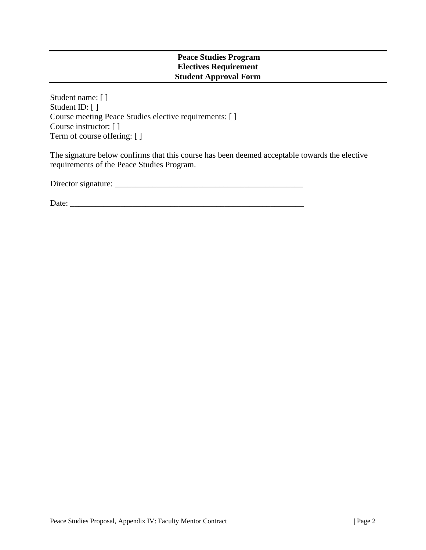## **Peace Studies Program Electives Requirement Student Approval Form**

Student name: [ ] Student ID: [ ] Course meeting Peace Studies elective requirements: [ ] Course instructor: [ ] Term of course offering: [ ]

The signature below confirms that this course has been deemed acceptable towards the elective requirements of the Peace Studies Program.

Director signature: \_\_\_\_\_\_\_\_\_\_\_\_\_\_\_\_\_\_\_\_\_\_\_\_\_\_\_\_\_\_\_\_\_\_\_\_\_\_\_\_\_\_\_\_\_

Date: \_\_\_\_\_\_\_\_\_\_\_\_\_\_\_\_\_\_\_\_\_\_\_\_\_\_\_\_\_\_\_\_\_\_\_\_\_\_\_\_\_\_\_\_\_\_\_\_\_\_\_\_\_\_\_\_